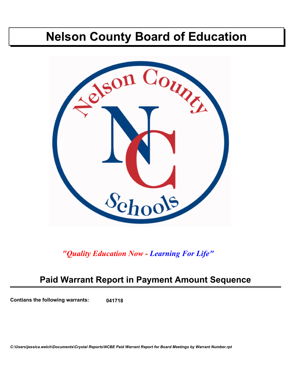# **Nelson County Board of Education**



*"Quality Education Now - Learning For Life"*

# **Paid Warrant Report in Payment Amount Sequence**

**Contians the following warrants: 041718**

*C:\Users\jessica.welch\Documents\Crystal Reports\NCBE Paid Warrant Report for Board Meetings by Warrant Number.rpt*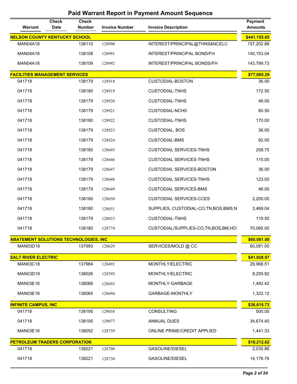| Warrant                                      | <b>Check</b><br><b>Date</b> | <b>Check</b><br><b>Number</b> | <b>Invoice Number</b> | <b>Invoice Description</b>              | <b>Payment</b><br><b>Amounts</b> |
|----------------------------------------------|-----------------------------|-------------------------------|-----------------------|-----------------------------------------|----------------------------------|
| <b>NELSON COUNTY KENTUCKY SCHOOL</b>         |                             |                               |                       |                                         | \$441,155.65                     |
| <b>MAN04A18</b>                              |                             | 138110                        | 128990                | INTEREST/PRINCIPAL@THNS&NCELC           | 157,202.88                       |
| <b>MAN04A18</b>                              |                             | 138108                        | 128991                | INTEREST/PRINCIPAL BOND/FH              | 140,153.04                       |
| <b>MAN04A18</b>                              |                             | 138109                        | 128992                | INTEREST/PRINCIPAL BONDS/FH             | 143,799.73                       |
| <b>FACILITIES MANAGEMENT SERVICES</b>        |                             |                               |                       |                                         | \$77,065.29                      |
| 041718                                       |                             | 138179                        | 128918                | <b>CUSTODIAL-BOSTON</b>                 | 36.00                            |
| 041718                                       |                             | 138180                        | 128919                | <b>CUSTODIAL-TNHS</b>                   | 172.50                           |
| 041718                                       |                             | 138179                        | 128920                | <b>CUSTODIAL-TNHS</b>                   | 46.00                            |
| 041718                                       |                             | 138179                        | 128921                | <b>CUSTODIAL-NCHS</b>                   | 80.50                            |
| 041718                                       |                             | 138180                        | 128922                | <b>CUSTODIAL-TNHS</b>                   | 170.00                           |
| 041718                                       |                             | 138179                        | 128923                | <b>CUSTODIAL, BOS</b>                   | 36.00                            |
| 041718                                       |                             | 138179                        | 128924                | <b>CUSTODIAL-BMS</b>                    | 92.00                            |
| 041718                                       |                             | 138180                        | 128645                | <b>CUSTODIAL SERVICES-TNHS</b>          | 258.75                           |
| 041718                                       |                             | 138179                        | 128646                | <b>CUSTODIAL SERVICES-TNHS</b>          | 115.00                           |
| 041718                                       |                             | 138179                        | 128647                | CUSTODIAL SERVICES-BOSTON               | 36.00                            |
| 041718                                       |                             | 138179                        | 128648                | <b>CUSTODIAL SERVICES-TNHS</b>          | 123.00                           |
| 041718                                       |                             | 138179                        | 128649                | <b>CUSTODIAL SERVICES-BMS</b>           | 46.00                            |
| 041718                                       |                             | 138180                        | 128650                | <b>CUSTODIAL SERVICES-CCES</b>          | 2,200.00                         |
| 041718                                       |                             | 138180                        | 128651                | SUPPLIES, CUSTODIAL-CO, TN, BOS, BMS, N | 3,469.04                         |
| 041718                                       |                             | 138179                        | 128653                | <b>CUSTODIAL-TNHS</b>                   | 119.50                           |
| 041718                                       |                             | 138180                        | 128774                | CUSTODIAL/SUPPLIES-CO, TN, BOS, BM, HO  | 70,065.00                        |
| <b>ABATEMENT SOLUTIONS TECHNOLOGIES, INC</b> |                             |                               |                       |                                         | \$60,081.00                      |
| <b>MAN03D18</b>                              |                             | 137993                        | 128629                | SERVICES/MOLD @ CC                      | 60,081.00                        |
| <b>SALT RIVER ELECTRIC</b>                   |                             |                               |                       |                                         | \$41,028.97                      |
| <b>MAN03C18</b>                              |                             | 137984                        | 128492                | MONTHLY/ELECTRIC                        | 29,968.51                        |
| MAN03D18                                     |                             | 138026                        | 128595                | MONTHLY/ELECTRIC                        | 8,255.92                         |
| <b>MAN03E18</b>                              |                             | 138066                        | 128693                | MONTHLY-GARBAGE                         | 1,482.42                         |
| <b>MAN03E18</b>                              |                             | 138065                        | 128694                | GARBAGE-MONTHLY                         | 1,322.12                         |
| <b>INFINITE CAMPUS, INC</b>                  |                             |                               |                       |                                         | \$36,615.73                      |
| 041718                                       |                             | 138195                        | 129038                | <b>CONSULTING</b>                       | 500.00                           |
| 041718                                       |                             | 138195                        | 129077                | ANNUAL DUES                             | 34,674.40                        |
| <b>MAN03E18</b>                              |                             | 138052                        | 128739                | ONLINE PRIME/CREDIT APPLIED             | 1,441.33                         |
| <b>PETROLEUM TRADERS CORPORATION</b>         |                             |                               |                       |                                         | \$16,212.62                      |
| 041718                                       |                             | 138221                        | 128708                | <b>GASOLINE/DIESEL</b>                  | 2,035.86                         |
| 041718                                       |                             | 138221                        | 128730                | <b>GASOLINE/DIESEL</b>                  | 14,176.76                        |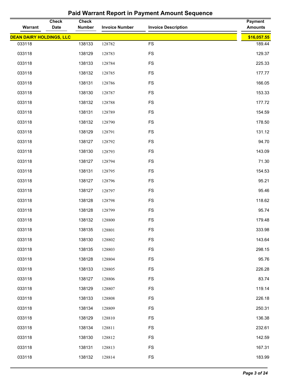| Warrant                         | <b>Check</b><br>Date | <b>Check</b><br><b>Number</b> | <b>Invoice Number</b> | <b>Invoice Description</b> | <b>Payment</b><br><b>Amounts</b> |
|---------------------------------|----------------------|-------------------------------|-----------------------|----------------------------|----------------------------------|
| <b>DEAN DAIRY HOLDINGS, LLC</b> |                      |                               |                       |                            | \$16,057.55                      |
| 033118                          |                      | 138133                        | 128782                | <b>FS</b>                  | 189.44                           |
| 033118                          |                      | 138129                        | 128783                | <b>FS</b>                  | 129.37                           |
| 033118                          |                      | 138133                        | 128784                | <b>FS</b>                  | 225.33                           |
| 033118                          |                      | 138132                        | 128785                | <b>FS</b>                  | 177.77                           |
| 033118                          |                      | 138131                        | 128786                | <b>FS</b>                  | 166.05                           |
| 033118                          |                      | 138130                        | 128787                | <b>FS</b>                  | 153.33                           |
| 033118                          |                      | 138132                        | 128788                | <b>FS</b>                  | 177.72                           |
| 033118                          |                      | 138131                        | 128789                | <b>FS</b>                  | 154.59                           |
| 033118                          |                      | 138132                        | 128790                | <b>FS</b>                  | 178.50                           |
| 033118                          |                      | 138129                        | 128791                | <b>FS</b>                  | 131.12                           |
| 033118                          |                      | 138127                        | 128792                | <b>FS</b>                  | 94.70                            |
| 033118                          |                      | 138130                        | 128793                | <b>FS</b>                  | 143.09                           |
| 033118                          |                      | 138127                        | 128794                | <b>FS</b>                  | 71.30                            |
| 033118                          |                      | 138131                        | 128795                | <b>FS</b>                  | 154.53                           |
| 033118                          |                      | 138127                        | 128796                | <b>FS</b>                  | 95.21                            |
| 033118                          |                      | 138127                        | 128797                | <b>FS</b>                  | 95.46                            |
| 033118                          |                      | 138128                        | 128798                | <b>FS</b>                  | 118.62                           |
| 033118                          |                      | 138128                        | 128799                | <b>FS</b>                  | 95.74                            |
| 033118                          |                      | 138132                        | 128800                | <b>FS</b>                  | 179.48                           |
| 033118                          |                      | 138135                        | 128801                | FS                         | 333.98                           |
| 033118                          |                      | 138130                        | 128802                | <b>FS</b>                  | 143.64                           |
| 033118                          |                      | 138135                        | 128803                | FS                         | 298.15                           |
| 033118                          |                      | 138128                        | 128804                | FS                         | 95.76                            |
| 033118                          |                      | 138133                        | 128805                | <b>FS</b>                  | 226.28                           |
| 033118                          |                      | 138127                        | 128806                | FS                         | 83.74                            |
| 033118                          |                      | 138129                        | 128807                | <b>FS</b>                  | 119.14                           |
| 033118                          |                      | 138133                        | 128808                | <b>FS</b>                  | 226.18                           |
| 033118                          |                      | 138134                        | 128809                | <b>FS</b>                  | 250.31                           |
| 033118                          |                      | 138129                        | 128810                | FS                         | 136.38                           |
| 033118                          |                      | 138134                        | 128811                | <b>FS</b>                  | 232.61                           |
| 033118                          |                      | 138130                        | 128812                | <b>FS</b>                  | 142.59                           |
| 033118                          |                      | 138131                        | 128813                | <b>FS</b>                  | 167.31                           |
| 033118                          |                      | 138132                        | 128814                | <b>FS</b>                  | 183.99                           |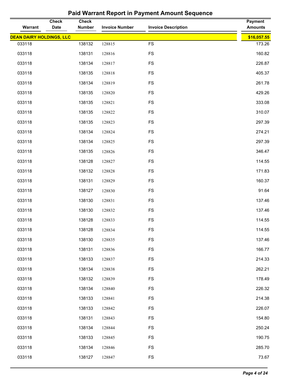| Warrant                         | <b>Check</b><br>Date | <b>Check</b><br><b>Number</b> | <b>Invoice Number</b> | <b>Invoice Description</b> | <b>Payment</b><br><b>Amounts</b> |
|---------------------------------|----------------------|-------------------------------|-----------------------|----------------------------|----------------------------------|
| <b>DEAN DAIRY HOLDINGS, LLC</b> |                      |                               |                       |                            | \$16,057.55                      |
| 033118                          |                      | 138132                        | 128815                | <b>FS</b>                  | 173.26                           |
| 033118                          |                      | 138131                        | 128816                | <b>FS</b>                  | 160.82                           |
| 033118                          |                      | 138134                        | 128817                | <b>FS</b>                  | 226.87                           |
| 033118                          |                      | 138135                        | 128818                | <b>FS</b>                  | 405.37                           |
| 033118                          |                      | 138134                        | 128819                | <b>FS</b>                  | 261.78                           |
| 033118                          |                      | 138135                        | 128820                | <b>FS</b>                  | 429.26                           |
| 033118                          |                      | 138135                        | 128821                | <b>FS</b>                  | 333.08                           |
| 033118                          |                      | 138135                        | 128822                | <b>FS</b>                  | 310.07                           |
| 033118                          |                      | 138135                        | 128823                | <b>FS</b>                  | 297.39                           |
| 033118                          |                      | 138134                        | 128824                | <b>FS</b>                  | 274.21                           |
| 033118                          |                      | 138134                        | 128825                | <b>FS</b>                  | 297.39                           |
| 033118                          |                      | 138135                        | 128826                | <b>FS</b>                  | 346.47                           |
| 033118                          |                      | 138128                        | 128827                | <b>FS</b>                  | 114.55                           |
| 033118                          |                      | 138132                        | 128828                | <b>FS</b>                  | 171.83                           |
| 033118                          |                      | 138131                        | 128829                | <b>FS</b>                  | 160.37                           |
| 033118                          |                      | 138127                        | 128830                | <b>FS</b>                  | 91.64                            |
| 033118                          |                      | 138130                        | 128831                | <b>FS</b>                  | 137.46                           |
| 033118                          |                      | 138130                        | 128832                | <b>FS</b>                  | 137.46                           |
| 033118                          |                      | 138128                        | 128833                | <b>FS</b>                  | 114.55                           |
| 033118                          |                      | 138128                        | 128834                | FS                         | 114.55                           |
| 033118                          |                      | 138130                        | 128835                | <b>FS</b>                  | 137.46                           |
| 033118                          |                      | 138131                        | 128836                | <b>FS</b>                  | 166.77                           |
| 033118                          |                      | 138133                        | 128837                | FS                         | 214.33                           |
| 033118                          |                      | 138134                        | 128838                | <b>FS</b>                  | 262.21                           |
| 033118                          |                      | 138132                        | 128839                | <b>FS</b>                  | 178.49                           |
| 033118                          |                      | 138134                        | 128840                | <b>FS</b>                  | 226.32                           |
| 033118                          |                      | 138133                        | 128841                | <b>FS</b>                  | 214.38                           |
| 033118                          |                      | 138133                        | 128842                | <b>FS</b>                  | 226.07                           |
| 033118                          |                      | 138131                        | 128843                | <b>FS</b>                  | 154.80                           |
| 033118                          |                      | 138134                        | 128844                | <b>FS</b>                  | 250.24                           |
| 033118                          |                      | 138133                        | 128845                | <b>FS</b>                  | 190.75                           |
| 033118                          |                      | 138134                        | 128846                | <b>FS</b>                  | 285.70                           |
| 033118                          |                      | 138127                        | 128847                | <b>FS</b>                  | 73.67                            |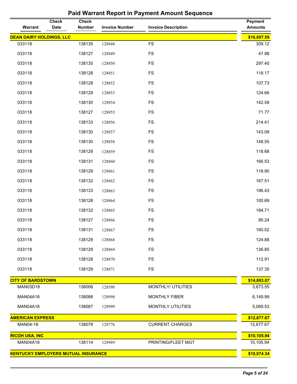| Warrant                                    | <b>Check</b><br><b>Date</b> | <b>Check</b><br><b>Number</b> | <b>Invoice Number</b> | <b>Invoice Description</b> | <b>Payment</b><br><b>Amounts</b> |
|--------------------------------------------|-----------------------------|-------------------------------|-----------------------|----------------------------|----------------------------------|
| <b>DEAN DAIRY HOLDINGS, LLC</b>            |                             |                               |                       |                            | \$16,057.55                      |
| 033118                                     |                             | 138135                        | 128848                | <b>FS</b>                  | 309.12                           |
| 033118                                     |                             | 138127                        | 128849                | <b>FS</b>                  | 47.88                            |
| 033118                                     |                             | 138135                        | 128850                | <b>FS</b>                  | 297.40                           |
| 033118                                     |                             | 138128                        | 128851                | <b>FS</b>                  | 118.17                           |
| 033118                                     |                             | 138128                        | 128852                | <b>FS</b>                  | 107.73                           |
| 033118                                     |                             | 138129                        | 128853                | <b>FS</b>                  | 124.66                           |
| 033118                                     |                             | 138130                        | 128854                | <b>FS</b>                  | 142.59                           |
| 033118                                     |                             | 138127                        | 128855                | <b>FS</b>                  | 71.77                            |
| 033118                                     |                             | 138133                        | 128856                | <b>FS</b>                  | 214.41                           |
| 033118                                     |                             | 138130                        | 128857                | <b>FS</b>                  | 143.09                           |
| 033118                                     |                             | 138130                        | 128858                | <b>FS</b>                  | 148.55                           |
| 033118                                     |                             | 138129                        | 128859                | <b>FS</b>                  | 118.68                           |
| 033118                                     |                             | 138131                        | 128860                | <b>FS</b>                  | 166.53                           |
| 033118                                     |                             | 138129                        | 128861                | <b>FS</b>                  | 118.90                           |
| 033118                                     |                             | 138132                        | 128862                | <b>FS</b>                  | 167.51                           |
| 033118                                     |                             | 138133                        | 128863                | <b>FS</b>                  | 196.43                           |
| 033118                                     |                             | 138128                        | 128864                | <b>FS</b>                  | 100.69                           |
| 033118                                     |                             | 138132                        | 128865                | <b>FS</b>                  | 184.71                           |
| 033118                                     |                             | 138127                        | 128866                | <b>FS</b>                  | 95.24                            |
| 033118                                     |                             | 138131                        | 128867                | <b>FS</b>                  | 160.52                           |
| 033118                                     |                             | 138129                        | 128868                | <b>FS</b>                  | 124.88                           |
| 033118                                     |                             | 138129                        | 128869                | <b>FS</b>                  | 136.85                           |
| 033118                                     |                             | 138128                        | 128870                | <b>FS</b>                  | 112.91                           |
| 033118                                     |                             | 138129                        | 128871                | <b>FS</b>                  | 137.35                           |
| <b>CITY OF BARDSTOWN</b>                   |                             |                               |                       |                            | \$14,893.07                      |
| MAN03D18                                   |                             | 138006                        | 128598                | MONTHLY/ UTILITIES         | 3,673.55                         |
| <b>MAN04A18</b>                            |                             | 138088                        | 128998                | <b>MONTHLY FIBER</b>       | 6,149.99                         |
| MAN04A18                                   |                             | 138087                        | 128999                | <b>MONTHLY UTILITIES</b>   | 5,069.53                         |
| <b>AMERICAN EXPRESS</b>                    |                             |                               |                       |                            | \$12,677.67                      |
| MAN04-18                                   |                             | 138078                        | 128776                | <b>CURRENT CHARGES</b>     | 12,677.67                        |
| <b>RICOH USA, INC</b>                      |                             |                               |                       |                            | \$10,105.94                      |
| <b>MAN04A18</b>                            |                             | 138114                        | 128989                | PRINTING/FLEET MGT         | 10,105.94                        |
| <b>KENTUCKY EMPLOYERS MUTUAL INSURANCE</b> |                             |                               |                       |                            | \$10,074.34                      |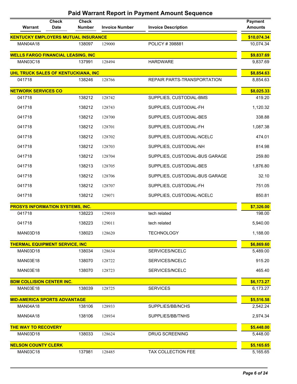| Warrant                                    | <b>Check</b><br><b>Date</b> | <b>Check</b><br><b>Number</b> | <b>Invoice Number</b> | <b>Invoice Description</b>     | <b>Payment</b><br><b>Amounts</b> |
|--------------------------------------------|-----------------------------|-------------------------------|-----------------------|--------------------------------|----------------------------------|
| <b>KENTUCKY EMPLOYERS MUTUAL INSURANCE</b> |                             |                               |                       |                                | \$10,074.34                      |
| <b>MAN04A18</b>                            |                             | 138097                        | 129000                | POLICY #398881                 | 10,074.34                        |
| <b>WELLS FARGO FINANCIAL LEASING, INC</b>  |                             |                               |                       |                                | \$9,837.69                       |
| <b>MAN03C18</b>                            |                             | 137991                        | 128494                | <b>HARDWARE</b>                | 9,837.69                         |
| UHL TRUCK SALES OF KENTUCKIANA, INC        |                             |                               |                       |                                | \$8,854.63                       |
| 041718                                     |                             | 138246                        | 128766                | REPAIR PARTS-TRANSPORTATION    | 8,854.63                         |
| <b>NETWORK SERVICES CO</b>                 |                             |                               |                       |                                | \$8,025.33                       |
| 041718                                     |                             | 138212                        | 128742                | SUPPLIES, CUSTODIAL-BMS        | 419.20                           |
| 041718                                     |                             | 138212                        | 128743                | SUPPLIES, CUSTODIAL-FH         | 1,120.32                         |
| 041718                                     |                             | 138212                        | 128700                | SUPPLIES, CUSTODIAL-BES        | 338.88                           |
| 041718                                     |                             | 138212                        | 128701                | SUPPLIES, CUSTODIAL-FH         | 1,087.38                         |
| 041718                                     |                             | 138212                        | 128702                | SUPPLIES, CUSTODIAL-NCELC      | 474.01                           |
| 041718                                     |                             | 138212                        | 128703                | SUPPLIES, CUSTODIAL-NH         | 814.98                           |
| 041718                                     |                             | 138212                        | 128704                | SUPPLIES, CUSTODIAL-BUS GARAGE | 259.80                           |
| 041718                                     |                             | 138213                        | 128705                | SUPPLIES, CUSTODIAL-BES        | 1,876.80                         |
| 041718                                     |                             | 138212                        | 128706                | SUPPLIES, CUSTODIAL-BUS GARAGE | 32.10                            |
| 041718                                     |                             | 138212                        | 128707                | SUPPLIES, CUSTODIAL-FH         | 751.05                           |
| 041718                                     |                             | 138212                        | 129071                | SUPPLIES, CUSTODIAL-NCELC      | 850.81                           |
| <b>PROSYS INFORMATION SYSTEMS, INC.</b>    |                             |                               |                       |                                | \$7,326.00                       |
| 041718                                     |                             | 138223                        | 129010                | tech related                   | 198.00                           |
| 041718                                     |                             | 138223                        | 129011                | tech related                   | 5,940.00                         |
| <b>MAN03D18</b>                            |                             | 138023                        | 128620                | <b>TECHNOLOGY</b>              | 1,188.00                         |
| <b>THERMAL EQUIPMENT SERVICE, INC</b>      |                             |                               |                       |                                | \$6,869.60                       |
| <b>MAN03D18</b>                            |                             | 138034                        | 128634                | SERVICES/NCELC                 | 5,489.00                         |
| <b>MAN03E18</b>                            |                             | 138070                        | 128722                | SERVICES/NCELC                 | 915.20                           |
| <b>MAN03E18</b>                            |                             | 138070                        | 128723                | SERVICES/NCELC                 | 465.40                           |
| <b>BDM COLLISION CENTER INC.</b>           |                             |                               |                       |                                | \$6,173.27                       |
| <b>MAN03E18</b>                            |                             | 138039                        | 128725                | <b>SERVICES</b>                | 6,173.27                         |
| <b>MID-AMERICA SPORTS ADVANTAGE</b>        |                             |                               |                       |                                | \$5,516.58                       |
| <b>MAN04A18</b>                            |                             | 138106                        | 128933                | SUPPLIES/BB/NCHS               | 2,542.24                         |
| <b>MAN04A18</b>                            |                             | 138106                        | 128934                | SUPPLIES/BB/TNHS               | 2,974.34                         |
| <b>THE WAY TO RECOVERY</b>                 |                             |                               |                       |                                | \$5,448.00                       |
| <b>MAN03D18</b>                            |                             | 138033                        | 128624                | <b>DRUG SCREENING</b>          | 5,448.00                         |
| <b>NELSON COUNTY CLERK</b>                 |                             |                               |                       |                                | \$5,165.65                       |
| <b>MAN03C18</b>                            |                             | 137981                        | 128485                | TAX COLLECTION FEE             | 5,165.65                         |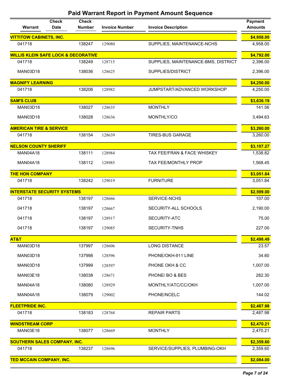| Warrant                                        | <b>Check</b><br><b>Date</b> | <b>Check</b><br><b>Number</b> | <b>Invoice Number</b> | <b>Invoice Description</b>          | <b>Payment</b><br><b>Amounts</b> |
|------------------------------------------------|-----------------------------|-------------------------------|-----------------------|-------------------------------------|----------------------------------|
| <b>VITTITOW CABINETS, INC.</b>                 |                             |                               |                       |                                     | \$4,958.00                       |
| 041718                                         |                             | 138247                        | 129080                | SUPPLIES, MAINTENANCE-NCHS          | 4,958.00                         |
| <b>WILLIS KLEIN SAFE LOCK &amp; DECORATIVE</b> |                             |                               |                       |                                     | \$4,792.00                       |
| 041718                                         |                             | 138249                        | 128715                | SUPPLIES, MAINTENANCE-BMS, DISTRICT | 2,396.00                         |
| <b>MAN03D18</b>                                |                             | 138036                        | 128625                | SUPPLIES/DISTRICT                   | 2,396.00                         |
| <b>MAGNIFY LEARNING</b>                        |                             |                               |                       |                                     | \$4,250.00                       |
| 041718                                         |                             | 138206                        | 128982                | JUMPSTART/ADVANCED WORKSHOP         | 4,250.00                         |
| <b>SAM'S CLUB</b>                              |                             |                               |                       |                                     | \$3,636.19                       |
| <b>MAN03D18</b>                                |                             | 138027                        | 128635                | <b>MONTHLY</b>                      | 141.56                           |
| <b>MAN03D18</b>                                |                             | 138028                        | 128636                | MONTHLY/CO                          | 3,494.63                         |
| <b>AMERICAN TIRE &amp; SERVICE</b>             |                             |                               |                       |                                     | \$3,260.00                       |
| 041718                                         |                             | 138154                        | 128639                | <b>TIRES-BUS GARAGE</b>             | 3,260.00                         |
| <b>NELSON COUNTY SHERIFF</b>                   |                             |                               |                       |                                     | \$3,107.27                       |
| <b>MAN04A18</b>                                |                             | 138111                        | 128984                | TAX FEE/FRAN & FACE WHISKEY         | 1,538.82                         |
| <b>MAN04A18</b>                                |                             | 138112                        | 128985                | <b>TAX FEE/MONTHLY PROP</b>         | 1,568.45                         |
| <b>THE HON COMPANY</b>                         |                             |                               |                       |                                     | \$3,051.84                       |
| 041718                                         |                             | 138242                        | 129019                | <b>FURNITURE</b>                    | 3,051.84                         |
| <b>INTERSTATE SECURITY SYSTEMS</b>             |                             |                               |                       |                                     | \$2,599.00                       |
| 041718                                         |                             | 138197                        | 128666                | SERVICE-NCHS                        | 107.00                           |
| 041718                                         |                             | 138197                        | 128667                | SECURITY-ALL SCHOOLS                | 2,190.00                         |
| 041718                                         |                             | 138197                        | 128917                | SECURITY-ATC                        | 75.00                            |
| 041718                                         |                             | 138197                        | 129085                | <b>SECURITY-TNHS</b>                | 227.00                           |
| AT&T                                           |                             |                               |                       |                                     | \$2,498.49                       |
| <b>MAN03D18</b>                                |                             | 137997                        | 128606                | <b>LONG DISTANCE</b>                | 23.57                            |
| <b>MAN03D18</b>                                |                             | 137998                        | 128596                | PHONE/OKH-911 LINE                  | 34.60                            |
| <b>MAN03D18</b>                                |                             | 137999                        | 128597                | PHONE OKH & CC                      | 1,007.00                         |
| <b>MAN03E18</b>                                |                             | 138038                        | 128671                | PHONE/BO & BES                      | 282.30                           |
| <b>MAN04A18</b>                                |                             | 138080                        | 128929                | MONTHLY/ATC/CC/OKH                  | 1,007.00                         |
| <b>MAN04A18</b>                                |                             | 138079                        | 129002                | PHONE/NCELC                         | 144.02                           |
| <b>FLEETPRIDE INC.</b>                         |                             |                               |                       |                                     | \$2,487.98                       |
| 041718                                         |                             | 138183                        | 128768                | <b>REPAIR PARTS</b>                 | 2,487.98                         |
| <b>WINDSTREAM CORP</b>                         |                             |                               |                       |                                     | \$2,470.21                       |
| <b>MAN03E18</b>                                |                             | 138077                        | 128669                | <b>MONTHLY</b>                      | 2,470.21                         |
| <b>SOUTHERN SALES COMPANY, INC.</b>            |                             |                               |                       |                                     | \$2,359.60                       |
| 041718                                         |                             | 138237                        | 128696                | SERVICE/SUPPLIES, PLUMBING-OKH      | 2,359.60                         |
| <b>TED MCCAIN COMPANY, INC.</b>                |                             |                               |                       |                                     | \$2,084.00                       |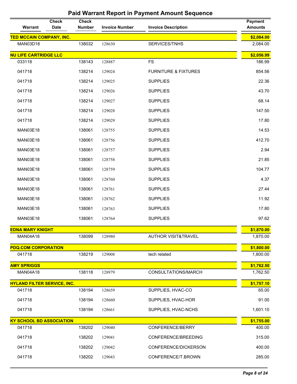| Warrant                            | <b>Check</b><br><b>Date</b> | <b>Check</b><br><b>Number</b> | <b>Invoice Number</b> | <b>Invoice Description</b>      | <b>Payment</b><br><b>Amounts</b> |
|------------------------------------|-----------------------------|-------------------------------|-----------------------|---------------------------------|----------------------------------|
| <b>TED MCCAIN COMPANY, INC.</b>    |                             |                               |                       |                                 | \$2,084.00                       |
| <b>MAN03D18</b>                    |                             | 138032                        | 128630                | SERVICES/TNHS                   | 2,084.00                         |
| <b>NU LIFE CARTRIDGE LLC</b>       |                             |                               |                       |                                 | \$2,056.99                       |
| 033118                             |                             | 138143                        | 128887                | <b>FS</b>                       | 186.99                           |
| 041718                             |                             | 138214                        | 129024                | <b>FURNITURE &amp; FIXTURES</b> | 854.56                           |
| 041718                             |                             | 138214                        | 129025                | <b>SUPPLIES</b>                 | 22.36                            |
| 041718                             |                             | 138214                        | 129026                | <b>SUPPLIES</b>                 | 43.70                            |
| 041718                             |                             | 138214                        | 129027                | <b>SUPPLIES</b>                 | 68.14                            |
| 041718                             |                             | 138214                        | 129028                | <b>SUPPLIES</b>                 | 147.50                           |
| 041718                             |                             | 138214                        | 129029                | <b>SUPPLIES</b>                 | 17.80                            |
| <b>MAN03E18</b>                    |                             | 138061                        | 128755                | <b>SUPPLIES</b>                 | 14.53                            |
| <b>MAN03E18</b>                    |                             | 138061                        | 128756                | <b>SUPPLIES</b>                 | 412.70                           |
| <b>MAN03E18</b>                    |                             | 138061                        | 128757                | <b>SUPPLIES</b>                 | 2.94                             |
| <b>MAN03E18</b>                    |                             | 138061                        | 128758                | <b>SUPPLIES</b>                 | 21.85                            |
| <b>MAN03E18</b>                    |                             | 138061                        | 128759                | <b>SUPPLIES</b>                 | 104.77                           |
| <b>MAN03E18</b>                    |                             | 138061                        | 128760                | <b>SUPPLIES</b>                 | 4.37                             |
| <b>MAN03E18</b>                    |                             | 138061                        | 128761                | <b>SUPPLIES</b>                 | 27.44                            |
| <b>MAN03E18</b>                    |                             | 138061                        | 128762                | <b>SUPPLIES</b>                 | 11.92                            |
| <b>MAN03E18</b>                    |                             | 138061                        | 128763                | <b>SUPPLIES</b>                 | 17.80                            |
| <b>MAN03E18</b>                    |                             | 138061                        | 128764                | <b>SUPPLIES</b>                 | 97.62                            |
| <b>EDNA MARY KNIGHT</b>            |                             |                               |                       |                                 | \$1,870.00                       |
| <b>MAN04A18</b>                    |                             | 138099                        | 128980                | <b>AUTHOR VISIT&amp;TRAVEL</b>  | 1,870.00                         |
| <b>PDQ.COM CORPORATION</b>         |                             |                               |                       |                                 | \$1,800.00                       |
| 041718                             |                             | 138219                        | 129008                | tech related                    | 1,800.00                         |
| <b>AMY SPRIGGS</b>                 |                             |                               |                       |                                 | \$1,762.50                       |
| <b>MAN04A18</b>                    |                             | 138118                        | 128979                | CONSULTATIONS/MARCH             | 1,762.50                         |
| <b>HYLAND FILTER SERVICE, INC.</b> |                             |                               |                       |                                 | \$1,757.10                       |
| 041718                             |                             | 138194                        | 128659                | SUPPLIES, HVAC-CO               | 65.00                            |
| 041718                             |                             | 138194                        | 128660                | SUPPLIES, HVAC-HOR              | 91.00                            |
| 041718                             |                             | 138194                        | 128661                | SUPPLIES, HVAC-NCHS             | 1,601.10                         |
| <b>KY SCHOOL BD ASSOCIATION</b>    |                             |                               |                       |                                 | \$1,755.00                       |
| 041718                             |                             | 138202                        | 129040                | CONFERENCE/BERRY                | 400.00                           |
| 041718                             |                             | 138202                        | 129041                | CONFERENCE/BREEDING             | 315.00                           |
| 041718                             |                             | 138202                        | 129042                | CONFERENCE/DICKERSON            | 400.00                           |
| 041718                             |                             | 138202                        | 129043                | CONFERENCE/T.BROWN              | 285.00                           |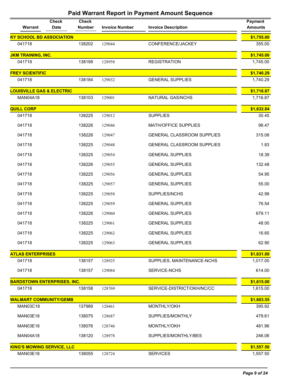| Warrant                              | <b>Check</b><br><b>Date</b> | <b>Check</b><br><b>Number</b> | <b>Invoice Number</b> | <b>Invoice Description</b>        | <b>Payment</b><br><b>Amounts</b> |
|--------------------------------------|-----------------------------|-------------------------------|-----------------------|-----------------------------------|----------------------------------|
| <b>KY SCHOOL BD ASSOCIATION</b>      |                             |                               |                       |                                   | \$1,755.00                       |
| 041718                               |                             | 138202                        | 129044                | CONFERENCE/JACKEY                 | 355.00                           |
| <b>JKM TRAINING, INC.</b>            |                             |                               |                       |                                   | \$1,745.00                       |
| 041718                               |                             | 138198                        | 128958                | <b>REGISTRATION</b>               | 1,745.00                         |
| <b>FREY SCIENTIFIC</b>               |                             |                               |                       |                                   | \$1,740.29                       |
| 041718                               |                             | 138184                        | 129032                | <b>GENERAL SUPPLIES</b>           | 1,740.29                         |
| <b>LOUISVILLE GAS &amp; ELECTRIC</b> |                             |                               |                       |                                   | \$1,716.87                       |
| <b>MAN04A18</b>                      |                             | 138103                        | 129001                | NATURAL GAS/NCHS                  | 1,716.87                         |
| <b>QUILL CORP</b>                    |                             |                               |                       |                                   | \$1,632.84                       |
| 041718                               |                             | 138225                        | 129012                | <b>SUPPLIES</b>                   | 30.45                            |
| 041718                               |                             | 138226                        | 129046                | <b>MATH/OFFICE SUPPLIES</b>       | 98.47                            |
| 041718                               |                             | 138226                        | 129047                | <b>GENERAL CLASSROOM SUPPLIES</b> | 315.08                           |
| 041718                               |                             | 138225                        | 129048                | <b>GENERAL CLASSROOM SUPPLIES</b> | 1.83                             |
| 041718                               |                             | 138225                        | 129054                | <b>GENERAL SUPPLIES</b>           | 18.39                            |
| 041718                               |                             | 138226                        | 129055                | <b>GENERAL SUPPLIES</b>           | 132.48                           |
| 041718                               |                             | 138225                        | 129056                | <b>GENERAL SUPPLIES</b>           | 54.95                            |
| 041718                               |                             | 138225                        | 129057                | <b>GENERAL SUPPLIES</b>           | 55.00                            |
| 041718                               |                             | 138225                        | 129058                | SUPPLIES/NCHS                     | 42.99                            |
| 041718                               |                             | 138225                        | 129059                | <b>GENERAL SUPPLIES</b>           | 76.54                            |
| 041718                               |                             | 138226                        | 129060                | <b>GENERAL SUPPLIES</b>           | 679.11                           |
| 041718                               |                             | 138225                        | 129061                | <b>GENERAL SUPPLIES</b>           | 48.00                            |
| 041718                               |                             | 138225                        | 129062                | <b>GENERAL SUPPLIES</b>           | 16.65                            |
| 041718                               |                             | 138225                        | 129063                | <b>GENERAL SUPPLIES</b>           | 62.90                            |
| <b>ATLAS ENTERPRISES</b>             |                             |                               |                       |                                   | \$1,631.00                       |
| 041718                               |                             | 138157                        | 128925                | SUPPLIES, MAINTENANCE-NCHS        | 1,017.00                         |
| 041718                               |                             | 138157                        | 129084                | SERVICE-NCHS                      | 614.00                           |
| <b>BARDSTOWN ENTERPRISES, INC.</b>   |                             |                               |                       |                                   | \$1,615.00                       |
| 041718                               |                             | 138158                        | 128769                | SERVICE-DISTRICT/OKH/NC/CC        | 1,615.00                         |
| <b>WALMART COMMUNITY/GEMB</b>        |                             |                               |                       |                                   | \$1,603.55                       |
| <b>MAN03C18</b>                      |                             | 137989                        | 128461                | MONTHLY/OKH                       | 395.92                           |
| <b>MAN03E18</b>                      |                             | 138075                        | 128687                | SUPPLIES/MONTHLY                  | 479.61                           |
| <b>MAN03E18</b>                      |                             | 138076                        | 128746                | MONTHLY/OKH                       | 481.96                           |
| <b>MAN04A18</b>                      |                             | 138120                        | 128978                | SUPPLIES/MONTHLY/BES              | 246.06                           |
| <b>KING'S MOWING SERVICE, LLC</b>    |                             |                               |                       |                                   | \$1,557.50                       |
| MAN03E18                             |                             | 138055                        | 128724                | <b>SERVICES</b>                   | 1,557.50                         |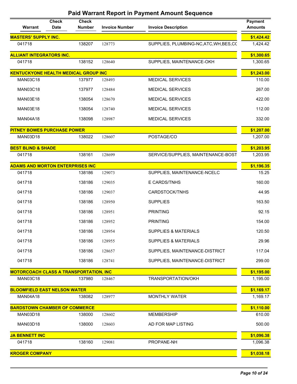| Warrant                                       | <b>Check</b><br><b>Date</b> | <b>Check</b><br><b>Number</b> | <b>Invoice Number</b> | <b>Invoice Description</b>              | <b>Payment</b><br><b>Amounts</b> |
|-----------------------------------------------|-----------------------------|-------------------------------|-----------------------|-----------------------------------------|----------------------------------|
| <b>MASTERS' SUPPLY INC.</b>                   |                             |                               |                       |                                         | \$1,424.42                       |
| 041718                                        |                             | 138207                        | 128773                | SUPPLIES, PLUMBING-NC, ATC, WH, BES, CC | 1,424.42                         |
| <b>ALLIANT INTEGRATORS INC.</b>               |                             |                               |                       |                                         | \$1,300.65                       |
| 041718                                        |                             | 138152                        | 128640                | SUPPLIES, MAINTENANCE-OKH               | 1,300.65                         |
| <b>KENTUCKYONE HEALTH MEDICAL GROUP INC</b>   |                             |                               |                       |                                         | \$1,243.00                       |
| <b>MAN03C18</b>                               |                             | 137977                        | 128493                | <b>MEDICAL SERVICES</b>                 | 110.00                           |
| <b>MAN03C18</b>                               |                             | 137977                        | 128484                | <b>MEDICAL SERVICES</b>                 | 267.00                           |
| <b>MAN03E18</b>                               |                             | 138054                        | 128670                | <b>MEDICAL SERVICES</b>                 | 422.00                           |
| <b>MAN03E18</b>                               |                             | 138054                        | 128740                | <b>MEDICAL SERVICES</b>                 | 112.00                           |
| <b>MAN04A18</b>                               |                             | 138098                        | 128987                | <b>MEDICAL SERVICES</b>                 | 332.00                           |
| <b>PITNEY BOWES PURCHASE POWER</b>            |                             |                               |                       |                                         | \$1,207.00                       |
| <b>MAN03D18</b>                               |                             | 138022                        | 128607                | POSTAGE/CO                              | 1,207.00                         |
| <b>BEST BLIND &amp; SHADE</b>                 |                             |                               |                       |                                         | \$1,203.95                       |
| 041718                                        |                             | 138161                        | 128699                | SERVICE/SUPPLIES, MAINTENANCE-BOST      | 1,203.95                         |
| <b>ADAMS AND MORTON ENTERPRISES INC</b>       |                             |                               |                       |                                         | \$1,196.35                       |
| 041718                                        |                             | 138186                        | 129073                | SUPPLIES, MAINTENANCE-NCELC             | 15.25                            |
| 041718                                        |                             | 138186                        | 129035                | E CARDS/TNHS                            | 160.00                           |
| 041718                                        |                             | 138186                        | 129037                | CARDSTOCK/TNHS                          | 44.95                            |
| 041718                                        |                             | 138186                        | 128950                | <b>SUPPLIES</b>                         | 163.50                           |
| 041718                                        |                             | 138186                        | 128951                | <b>PRINTING</b>                         | 92.15                            |
| 041718                                        |                             | 138186                        | 128952                | <b>PRINTING</b>                         | 154.00                           |
| 041718                                        |                             | 138186                        | 128954                | <b>SUPPLIES &amp; MATERIALS</b>         | 120.50                           |
| 041718                                        |                             | 138186                        | 128955                | SUPPLIES & MATERIALS                    | 29.96                            |
| 041718                                        |                             | 138186                        | 128657                | SUPPLIES, MAINTENANCE-DISTRICT          | 117.04                           |
| 041718                                        |                             | 138186                        | 128741                | SUPPLIES, MAINTENANCE-DISTRICT          | 299.00                           |
| <b>MOTORCOACH CLASS A TRANSPORTATION, INC</b> |                             |                               |                       |                                         | \$1,195.00                       |
| <b>MAN03C18</b>                               |                             | 137980                        | 128467                | TRANSPORTATION/OKH                      | 1,195.00                         |
| <b>BLOOMFIELD EAST NELSON WATER</b>           |                             |                               |                       |                                         | \$1,169.17                       |
| <b>MAN04A18</b>                               |                             | 138082                        | 128977                | <b>MONTHLY WATER</b>                    | 1,169.17                         |
| <b>BARDSTOWN CHAMBER OF COMMERCE</b>          |                             |                               |                       |                                         | \$1,110.00                       |
| <b>MAN03D18</b>                               |                             | 138000                        | 128602                | <b>MEMBERSHIP</b>                       | 610.00                           |
| <b>MAN03D18</b>                               |                             | 138000                        | 128603                | AD FOR MAP LISTING                      | 500.00                           |
| <b>JA BENNETT INC</b>                         |                             |                               |                       |                                         | \$1,096.38                       |
| 041718                                        |                             | 138160                        | 129081                | PROPANE-NH                              | 1,096.38                         |
| <b>KROGER COMPANY</b>                         |                             |                               |                       |                                         | \$1,038.18                       |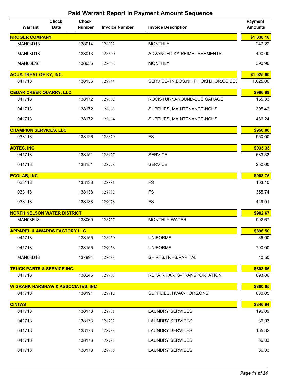| Warrant                                      | <b>Check</b><br><b>Date</b> | <b>Check</b><br><b>Number</b> | <b>Invoice Number</b> | <b>Invoice Description</b>                 | <b>Payment</b><br><b>Amounts</b> |
|----------------------------------------------|-----------------------------|-------------------------------|-----------------------|--------------------------------------------|----------------------------------|
| <b>KROGER COMPANY</b>                        |                             |                               |                       |                                            | \$1,038.18                       |
| <b>MAN03D18</b>                              |                             | 138014                        | 128632                | <b>MONTHLY</b>                             | 247.22                           |
| <b>MAN03D18</b>                              |                             | 138013                        | 128600                | ADVANCED KY REIMBURSEMENTS                 | 400.00                           |
| <b>MAN03E18</b>                              |                             | 138056                        | 128668                | <b>MONTHLY</b>                             | 390.96                           |
| <b>AQUA TREAT OF KY, INC.</b>                |                             |                               |                       |                                            | \$1,025.00                       |
| 041718                                       |                             | 138156                        | 128744                | SERVICE-TN, BOS, NH, FH, OKH, HOR, CC, BES | 1,025.00                         |
| <b>CEDAR CREEK QUARRY, LLC</b>               |                             |                               |                       |                                            | \$986.99                         |
| 041718                                       |                             | 138172                        | 128662                | ROCK-TURNAROUND-BUS GARAGE                 | 155.33                           |
| 041718                                       |                             | 138172                        | 128663                | SUPPLIES, MAINTENANCE-NCHS                 | 395.42                           |
| 041718                                       |                             | 138172                        | 128664                | SUPPLIES, MAINTENANCE-NCHS                 | 436.24                           |
| <b>CHAMPION SERVICES, LLC</b>                |                             |                               |                       |                                            | \$950.00                         |
| 033118                                       |                             | 138126                        | 128879                | <b>FS</b>                                  | 950.00                           |
| <b>ADTEC, INC</b>                            |                             |                               |                       |                                            | \$933.33                         |
| 041718                                       |                             | 138151                        | 128927                | <b>SERVICE</b>                             | 683.33                           |
| 041718                                       |                             | 138151                        | 128928                | <b>SERVICE</b>                             | 250.00                           |
| <b>ECOLAB, INC</b>                           |                             |                               |                       |                                            | \$908.75                         |
| 033118                                       |                             | 138138                        | 128881                | <b>FS</b>                                  | 103.10                           |
| 033118                                       |                             | 138138                        | 128882                | <b>FS</b>                                  | 355.74                           |
| 033118                                       |                             | 138138                        | 129078                | <b>FS</b>                                  | 449.91                           |
| <b>NORTH NELSON WATER DISTRICT</b>           |                             |                               |                       |                                            | \$902.67                         |
| <b>MAN03E18</b>                              |                             | 138060                        | 128727                | <b>MONTHLY WATER</b>                       | 902.67                           |
| <b>APPAREL &amp; AWARDS FACTORY LLC</b>      |                             |                               |                       |                                            | \$896.50                         |
| 041718                                       |                             | 138155                        | 128930                | <b>UNIFORMS</b>                            | 66.00                            |
| 041718                                       |                             | 138155                        | 129036                | <b>UNIFORMS</b>                            | 790.00                           |
| <b>MAN03D18</b>                              |                             | 137994                        | 128633                | SHIRTS/TNHS/PARITAL                        | 40.50                            |
| <b>TRUCK PARTS &amp; SERVICE INC.</b>        |                             |                               |                       |                                            | \$893.86                         |
| 041718                                       |                             | 138245                        | 128767                | REPAIR PARTS-TRANSPORTATION                | 893.86                           |
| <b>W GRANK HARSHAW &amp; ASSOCIATES, INC</b> |                             |                               |                       |                                            | \$880.05                         |
| 041718                                       |                             | 138191                        | 128712                | SUPPLIES, HVAC-HORIZONS                    | 880.05                           |
| <b>CINTAS</b>                                |                             |                               |                       |                                            | \$846.94                         |
| 041718                                       |                             | 138173                        | 128731                | <b>LAUNDRY SERVICES</b>                    | 196.09                           |
| 041718                                       |                             | 138173                        | 128732                | <b>LAUNDRY SERVICES</b>                    | 36.03                            |
| 041718                                       |                             | 138173                        | 128733                | <b>LAUNDRY SERVICES</b>                    | 155.32                           |
| 041718                                       |                             | 138173                        | 128734                | <b>LAUNDRY SERVICES</b>                    | 36.03                            |
| 041718                                       |                             | 138173                        | 128735                | <b>LAUNDRY SERVICES</b>                    | 36.03                            |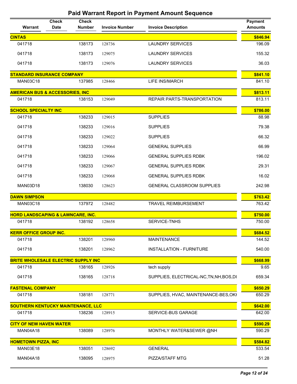| <b>Warrant</b>                               | <b>Check</b><br><b>Date</b> | <b>Check</b><br><b>Number</b> | <b>Invoice Number</b> | <b>Invoice Description</b>               | <b>Payment</b><br><b>Amounts</b> |
|----------------------------------------------|-----------------------------|-------------------------------|-----------------------|------------------------------------------|----------------------------------|
| <b>CINTAS</b>                                |                             |                               |                       |                                          | \$846.94                         |
| 041718                                       |                             | 138173                        | 128736                | <b>LAUNDRY SERVICES</b>                  | 196.09                           |
| 041718                                       |                             | 138173                        | 129075                | <b>LAUNDRY SERVICES</b>                  | 155.32                           |
| 041718                                       |                             | 138173                        | 129076                | <b>LAUNDRY SERVICES</b>                  | 36.03                            |
| <b>STANDARD INSURANCE COMPANY</b>            |                             |                               |                       |                                          | \$841.10                         |
| <b>MAN03C18</b>                              |                             | 137985                        | 128466                | <b>LIFE INS/MARCH</b>                    | 841.10                           |
| <b>AMERICAN BUS &amp; ACCESSORIES, INC</b>   |                             |                               |                       |                                          | \$813.11                         |
| 041718                                       |                             | 138153                        | 129049                | REPAIR PARTS-TRANSPORTATION              | 813.11                           |
| <b>SCHOOL SPECIALTY INC</b>                  |                             |                               |                       |                                          | \$786.00                         |
| 041718                                       |                             | 138233                        | 129015                | <b>SUPPLIES</b>                          | 88.98                            |
| 041718                                       |                             | 138233                        | 129016                | <b>SUPPLIES</b>                          | 79.38                            |
| 041718                                       |                             | 138233                        | 129022                | <b>SUPPLIES</b>                          | 66.32                            |
| 041718                                       |                             | 138233                        | 129064                | <b>GENERAL SUPPLIES</b>                  | 66.99                            |
| 041718                                       |                             | 138233                        | 129066                | <b>GENERAL SUPPLIES RDBK</b>             | 196.02                           |
| 041718                                       |                             | 138233                        | 129067                | <b>GENERAL SUPPLIES RDBK</b>             | 29.31                            |
| 041718                                       |                             | 138233                        | 129068                | <b>GENERAL SUPPLIES RDBK</b>             | 16.02                            |
| <b>MAN03D18</b>                              |                             | 138030                        | 128623                | <b>GENERAL CLASSROOM SUPPLIES</b>        | 242.98                           |
| <b>DAWN SIMPSON</b>                          |                             |                               |                       |                                          | \$763.42                         |
| <b>MAN03C18</b>                              |                             | 137972                        | 128482                | <b>TRAVEL REIMBURSEMENT</b>              | 763.42                           |
| <b>HORD LANDSCAPING &amp; LAWNCARE, INC.</b> |                             |                               |                       |                                          | \$750.00                         |
| 041718                                       |                             | 138192                        | 128658                | SERVICE-TNHS                             | 750.00                           |
| <b>KERR OFFICE GROUP INC.</b>                |                             |                               |                       |                                          | \$684.52                         |
| 041718                                       |                             | 138201                        | 128960                | <b>MAINTENANCE</b>                       | 144.52                           |
| 041718                                       |                             | 138201                        | 128962                | <b>INSTALLATION - FURNITURE</b>          | 540.00                           |
| <b>BRITE WHOLESALE ELECTRIC SUPPLY INC</b>   |                             |                               |                       |                                          | \$668.99                         |
| 041718                                       |                             | 138165                        | 128926                | tech supply                              | 9.65                             |
| 041718                                       |                             | 138165                        | 128718                | SUPPLIES, ELECTRICAL-NC, TN, NH, BOS, DI | 659.34                           |
| <b>FASTENAL COMPANY</b>                      |                             |                               |                       |                                          | \$650.29                         |
| 041718                                       |                             | 138181                        | 128771                | SUPPLIES, HVAC, MAINTENANCE-BES, OKI     | 650.29                           |
| <b>SOUTHERN KENTUCKY MAINTENANCE, LLC</b>    |                             |                               |                       |                                          | \$642.00                         |
| 041718                                       |                             | 138236                        | 128915                | SERVICE-BUS GARAGE                       | 642.00                           |
| <b>CITY OF NEW HAVEN WATER</b>               |                             |                               |                       |                                          | \$590.29                         |
| <b>MAN04A18</b>                              |                             | 138089                        | 128976                | MONTHLY WATER&SEWER @NH                  | 590.29                           |
| <b>HOMETOWN PIZZA, INC</b>                   |                             |                               |                       |                                          | \$584.82                         |
| <b>MAN03E18</b>                              |                             | 138051                        | 128692                | <b>GENERAL</b>                           | 533.54                           |
| <b>MAN04A18</b>                              |                             | 138095                        | 128975                | PIZZA/STAFF MTG                          | 51.28                            |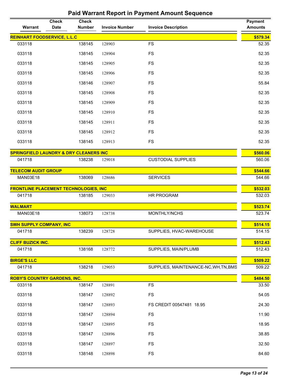| <b>REINHART FOODSERVICE, L.L.C</b><br><b>FS</b><br>033118<br>138145<br>128903<br>033118<br>138145<br>128904<br><b>FS</b><br>033118<br>138145<br>128905<br><b>FS</b><br>033118<br>138145<br><b>FS</b><br>128906<br><b>FS</b><br>033118<br>138146<br>128907<br>033118<br>138145<br>128908<br><b>FS</b><br>033118<br>138145<br>128909<br><b>FS</b><br><b>FS</b><br>033118<br>138145<br>128910<br>033118<br>138145<br>128911<br><b>FS</b><br>033118<br>138145<br>128912<br><b>FS</b><br>033118<br>138145<br>128913<br><b>FS</b><br><b>SPRINGFIELD LAUNDRY &amp; DRY CLEANERS INC</b><br>041718<br>138238<br>129018<br><b>CUSTODIAL SUPPLIES</b><br><b>TELECOM AUDIT GROUP</b><br>MAN03E18<br>138069<br><b>SERVICES</b><br>128686<br><b>FRONTLINE PLACEMENT TECHNOLOGIES, INC</b><br>041718<br>138185<br>HR PROGRAM<br>129033<br><b>WALMART</b><br>138073<br>128738<br>MONTHLY/NCHS<br><b>MAN03E18</b><br><b>SWH SUPPLY COMPANY, INC</b><br>138239<br>041718<br>128728<br>SUPPLIES, HVAC-WAREHOUSE<br><b>CLIFF BUZICK INC.</b><br>SUPPLIES, MAIN/PLUMB<br>138168<br>041718<br>128772<br><b>BIRGE'S LLC</b><br>041718<br>138218<br>SUPPLIES, MAINTENANCE-NC, WH, TN, BMS<br>129053<br><b>ROBY'S COUNTRY GARDENS, INC.</b><br>138147<br><b>FS</b><br>033118<br>128891<br>33.50 | Warrant | <b>Check</b><br><b>Date</b> | <b>Check</b><br><b>Number</b> | <b>Invoice Number</b> | <b>Invoice Description</b> | <b>Payment</b><br><b>Amounts</b> |
|-------------------------------------------------------------------------------------------------------------------------------------------------------------------------------------------------------------------------------------------------------------------------------------------------------------------------------------------------------------------------------------------------------------------------------------------------------------------------------------------------------------------------------------------------------------------------------------------------------------------------------------------------------------------------------------------------------------------------------------------------------------------------------------------------------------------------------------------------------------------------------------------------------------------------------------------------------------------------------------------------------------------------------------------------------------------------------------------------------------------------------------------------------------------------------------------------------------------------------------------------------------------------|---------|-----------------------------|-------------------------------|-----------------------|----------------------------|----------------------------------|
|                                                                                                                                                                                                                                                                                                                                                                                                                                                                                                                                                                                                                                                                                                                                                                                                                                                                                                                                                                                                                                                                                                                                                                                                                                                                         |         |                             |                               |                       |                            | \$579.34                         |
|                                                                                                                                                                                                                                                                                                                                                                                                                                                                                                                                                                                                                                                                                                                                                                                                                                                                                                                                                                                                                                                                                                                                                                                                                                                                         |         |                             |                               |                       |                            | 52.35                            |
|                                                                                                                                                                                                                                                                                                                                                                                                                                                                                                                                                                                                                                                                                                                                                                                                                                                                                                                                                                                                                                                                                                                                                                                                                                                                         |         |                             |                               |                       |                            | 52.35                            |
|                                                                                                                                                                                                                                                                                                                                                                                                                                                                                                                                                                                                                                                                                                                                                                                                                                                                                                                                                                                                                                                                                                                                                                                                                                                                         |         |                             |                               |                       |                            | 52.35                            |
|                                                                                                                                                                                                                                                                                                                                                                                                                                                                                                                                                                                                                                                                                                                                                                                                                                                                                                                                                                                                                                                                                                                                                                                                                                                                         |         |                             |                               |                       |                            | 52.35                            |
|                                                                                                                                                                                                                                                                                                                                                                                                                                                                                                                                                                                                                                                                                                                                                                                                                                                                                                                                                                                                                                                                                                                                                                                                                                                                         |         |                             |                               |                       |                            | 55.84                            |
|                                                                                                                                                                                                                                                                                                                                                                                                                                                                                                                                                                                                                                                                                                                                                                                                                                                                                                                                                                                                                                                                                                                                                                                                                                                                         |         |                             |                               |                       |                            | 52.35                            |
|                                                                                                                                                                                                                                                                                                                                                                                                                                                                                                                                                                                                                                                                                                                                                                                                                                                                                                                                                                                                                                                                                                                                                                                                                                                                         |         |                             |                               |                       |                            | 52.35                            |
|                                                                                                                                                                                                                                                                                                                                                                                                                                                                                                                                                                                                                                                                                                                                                                                                                                                                                                                                                                                                                                                                                                                                                                                                                                                                         |         |                             |                               |                       |                            | 52.35                            |
|                                                                                                                                                                                                                                                                                                                                                                                                                                                                                                                                                                                                                                                                                                                                                                                                                                                                                                                                                                                                                                                                                                                                                                                                                                                                         |         |                             |                               |                       |                            | 52.35                            |
|                                                                                                                                                                                                                                                                                                                                                                                                                                                                                                                                                                                                                                                                                                                                                                                                                                                                                                                                                                                                                                                                                                                                                                                                                                                                         |         |                             |                               |                       |                            | 52.35                            |
|                                                                                                                                                                                                                                                                                                                                                                                                                                                                                                                                                                                                                                                                                                                                                                                                                                                                                                                                                                                                                                                                                                                                                                                                                                                                         |         |                             |                               |                       |                            | 52.35                            |
|                                                                                                                                                                                                                                                                                                                                                                                                                                                                                                                                                                                                                                                                                                                                                                                                                                                                                                                                                                                                                                                                                                                                                                                                                                                                         |         |                             |                               |                       |                            | \$560.06                         |
|                                                                                                                                                                                                                                                                                                                                                                                                                                                                                                                                                                                                                                                                                                                                                                                                                                                                                                                                                                                                                                                                                                                                                                                                                                                                         |         |                             |                               |                       |                            | 560.06                           |
|                                                                                                                                                                                                                                                                                                                                                                                                                                                                                                                                                                                                                                                                                                                                                                                                                                                                                                                                                                                                                                                                                                                                                                                                                                                                         |         |                             |                               |                       |                            | \$544.66                         |
|                                                                                                                                                                                                                                                                                                                                                                                                                                                                                                                                                                                                                                                                                                                                                                                                                                                                                                                                                                                                                                                                                                                                                                                                                                                                         |         |                             |                               |                       |                            | 544.66                           |
|                                                                                                                                                                                                                                                                                                                                                                                                                                                                                                                                                                                                                                                                                                                                                                                                                                                                                                                                                                                                                                                                                                                                                                                                                                                                         |         |                             |                               |                       |                            | \$532.03                         |
|                                                                                                                                                                                                                                                                                                                                                                                                                                                                                                                                                                                                                                                                                                                                                                                                                                                                                                                                                                                                                                                                                                                                                                                                                                                                         |         |                             |                               |                       |                            | 532.03                           |
|                                                                                                                                                                                                                                                                                                                                                                                                                                                                                                                                                                                                                                                                                                                                                                                                                                                                                                                                                                                                                                                                                                                                                                                                                                                                         |         |                             |                               |                       |                            | \$523.74                         |
|                                                                                                                                                                                                                                                                                                                                                                                                                                                                                                                                                                                                                                                                                                                                                                                                                                                                                                                                                                                                                                                                                                                                                                                                                                                                         |         |                             |                               |                       |                            | 523.74                           |
|                                                                                                                                                                                                                                                                                                                                                                                                                                                                                                                                                                                                                                                                                                                                                                                                                                                                                                                                                                                                                                                                                                                                                                                                                                                                         |         |                             |                               |                       |                            | \$514.15                         |
|                                                                                                                                                                                                                                                                                                                                                                                                                                                                                                                                                                                                                                                                                                                                                                                                                                                                                                                                                                                                                                                                                                                                                                                                                                                                         |         |                             |                               |                       |                            | 514.15                           |
|                                                                                                                                                                                                                                                                                                                                                                                                                                                                                                                                                                                                                                                                                                                                                                                                                                                                                                                                                                                                                                                                                                                                                                                                                                                                         |         |                             |                               |                       |                            | \$512.43                         |
|                                                                                                                                                                                                                                                                                                                                                                                                                                                                                                                                                                                                                                                                                                                                                                                                                                                                                                                                                                                                                                                                                                                                                                                                                                                                         |         |                             |                               |                       |                            | 512.43                           |
|                                                                                                                                                                                                                                                                                                                                                                                                                                                                                                                                                                                                                                                                                                                                                                                                                                                                                                                                                                                                                                                                                                                                                                                                                                                                         |         |                             |                               |                       |                            | \$509.22                         |
|                                                                                                                                                                                                                                                                                                                                                                                                                                                                                                                                                                                                                                                                                                                                                                                                                                                                                                                                                                                                                                                                                                                                                                                                                                                                         |         |                             |                               |                       |                            | 509.22                           |
|                                                                                                                                                                                                                                                                                                                                                                                                                                                                                                                                                                                                                                                                                                                                                                                                                                                                                                                                                                                                                                                                                                                                                                                                                                                                         |         |                             |                               |                       |                            | \$484.50                         |
|                                                                                                                                                                                                                                                                                                                                                                                                                                                                                                                                                                                                                                                                                                                                                                                                                                                                                                                                                                                                                                                                                                                                                                                                                                                                         |         |                             |                               |                       |                            |                                  |
| 033118<br>138147<br>FS<br>128892                                                                                                                                                                                                                                                                                                                                                                                                                                                                                                                                                                                                                                                                                                                                                                                                                                                                                                                                                                                                                                                                                                                                                                                                                                        |         |                             |                               |                       |                            | 54.05                            |
| 033118<br>138147<br>128893<br>FS CREDIT 00547481 18.95                                                                                                                                                                                                                                                                                                                                                                                                                                                                                                                                                                                                                                                                                                                                                                                                                                                                                                                                                                                                                                                                                                                                                                                                                  |         |                             |                               |                       |                            | 24.30                            |
| 033118<br>138147<br>FS<br>128894                                                                                                                                                                                                                                                                                                                                                                                                                                                                                                                                                                                                                                                                                                                                                                                                                                                                                                                                                                                                                                                                                                                                                                                                                                        |         |                             |                               |                       |                            | 11.90                            |
| 033118<br>138147<br>128895<br><b>FS</b>                                                                                                                                                                                                                                                                                                                                                                                                                                                                                                                                                                                                                                                                                                                                                                                                                                                                                                                                                                                                                                                                                                                                                                                                                                 |         |                             |                               |                       |                            | 18.95                            |
| 033118<br>138147<br>128896<br><b>FS</b>                                                                                                                                                                                                                                                                                                                                                                                                                                                                                                                                                                                                                                                                                                                                                                                                                                                                                                                                                                                                                                                                                                                                                                                                                                 |         |                             |                               |                       |                            | 38.85                            |
| 033118<br>138147<br><b>FS</b><br>128897                                                                                                                                                                                                                                                                                                                                                                                                                                                                                                                                                                                                                                                                                                                                                                                                                                                                                                                                                                                                                                                                                                                                                                                                                                 |         |                             |                               |                       |                            | 32.50                            |
| 033118<br><b>FS</b><br>138148<br>128898                                                                                                                                                                                                                                                                                                                                                                                                                                                                                                                                                                                                                                                                                                                                                                                                                                                                                                                                                                                                                                                                                                                                                                                                                                 |         |                             |                               |                       |                            | 84.60                            |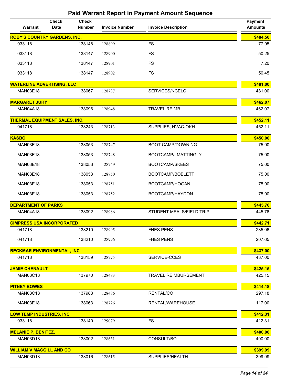| <b>Warrant</b>                       | <b>Check</b><br><b>Date</b> | <b>Check</b><br><b>Number</b> | <b>Invoice Number</b> | <b>Invoice Description</b>  | Payment<br><b>Amounts</b> |
|--------------------------------------|-----------------------------|-------------------------------|-----------------------|-----------------------------|---------------------------|
| <b>ROBY'S COUNTRY GARDENS, INC.</b>  |                             |                               |                       |                             | \$484.50                  |
| 033118                               |                             | 138148                        | 128899                | <b>FS</b>                   | 77.95                     |
| 033118                               |                             | 138147                        | 128900                | <b>FS</b>                   | 50.25                     |
| 033118                               |                             | 138147                        | 128901                | <b>FS</b>                   | 7.20                      |
| 033118                               |                             | 138147                        | 128902                | <b>FS</b>                   | 50.45                     |
| <b>WATERLINE ADVERTISING, LLC</b>    |                             |                               |                       |                             | \$481.00                  |
| MAN03E18                             |                             | 138067                        | 128737                | SERVICES/NCELC              | 481.00                    |
| <b>MARGARET JURY</b>                 |                             |                               |                       |                             | \$462.07                  |
| <b>MAN04A18</b>                      |                             | 138096                        | 128948                | <b>TRAVEL REIMB</b>         | 462.07                    |
| <b>THERMAL EQUIPMENT SALES, INC.</b> |                             |                               |                       |                             | \$452.11                  |
| 041718                               |                             | 138243                        | 128713                | SUPPLIES, HVAC-OKH          | 452.11                    |
| <b>KASBO</b>                         |                             |                               |                       |                             | \$450.00                  |
| <b>MAN03E18</b>                      |                             | 138053                        | 128747                | <b>BOOT CAMP/DOWNING</b>    | 75.00                     |
| <b>MAN03E18</b>                      |                             | 138053                        | 128748                | BOOTCAMP/LMATTINGLY         | 75.00                     |
| <b>MAN03E18</b>                      |                             | 138053                        | 128749                | <b>BOOTCAMP/SKEES</b>       | 75.00                     |
| <b>MAN03E18</b>                      |                             | 138053                        | 128750                | BOOTCAMP/BOBLETT            | 75.00                     |
| <b>MAN03E18</b>                      |                             | 138053                        | 128751                | BOOTCAMP/HOGAN              | 75.00                     |
| <b>MAN03E18</b>                      |                             | 138053                        | 128752                | BOOTCAMP/HAYDON             | 75.00                     |
| <b>DEPARTMENT OF PARKS</b>           |                             |                               |                       |                             | \$445.76                  |
| <b>MAN04A18</b>                      |                             | 138092                        | 128986                | STUDENT MEALS/FIELD TRIP    | 445.76                    |
| <b>CIMPRESS USA INCORPORATED</b>     |                             |                               |                       |                             | \$442.71                  |
| 041718                               |                             | 138210                        | 128995                | <b>FHES PENS</b>            | 235.06                    |
| 041718                               |                             | 138210                        | 128996                | <b>FHES PENS</b>            | 207.65                    |
| <b>BECKMAR ENVIRONMENTAL, INC</b>    |                             |                               |                       |                             | \$437.00                  |
| 041718                               |                             | 138159                        | 128775                | SERVICE-CCES                | 437.00                    |
| <b>JAMIE CHENAULT</b>                |                             |                               |                       |                             | \$425.15                  |
| <b>MAN03C18</b>                      |                             | 137970                        | 128483                | <b>TRAVEL REIMBURSEMENT</b> | 425.15                    |
| <b>PITNEY BOWES</b>                  |                             |                               |                       |                             | \$414.18                  |
| <b>MAN03C18</b>                      |                             | 137983                        | 128486                | RENTAL/CO                   | 297.18                    |
| <b>MAN03E18</b>                      |                             | 138063                        | 128726                | RENTAL/WAREHOUSE            | 117.00                    |
| <b>LOW TEMP INDUSTRIES, INC</b>      |                             |                               |                       |                             | \$412.31                  |
| 033118                               |                             | 138140                        | 129079                | <b>FS</b>                   | 412.31                    |
| <b>MELANIE P. BENITEZ,</b>           |                             |                               |                       |                             | \$400.00                  |
| MAN03D18                             |                             | 138002                        | 128631                | CONSULT/BO                  | 400.00                    |
| <b>WILLIAM V MACGILL AND CO</b>      |                             |                               |                       |                             | \$399.99                  |
| MAN03D18                             |                             | 138016                        | 128615                | SUPPLIES/HEALTH             | 399.99                    |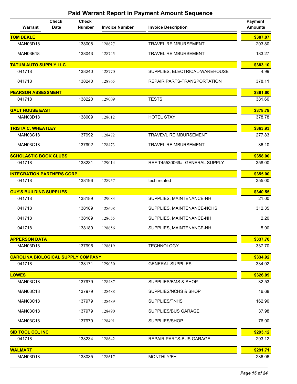| Warrant                                   | <b>Check</b><br><b>Date</b> | <b>Check</b><br><b>Number</b> | <b>Invoice Number</b> | <b>Invoice Description</b>     | <b>Payment</b><br><b>Amounts</b> |
|-------------------------------------------|-----------------------------|-------------------------------|-----------------------|--------------------------------|----------------------------------|
| <b>TOM DEKLE</b>                          |                             |                               |                       |                                | \$387.07                         |
| <b>MAN03D18</b>                           |                             | 138008                        | 128627                | <b>TRAVEL REIMBURSEMENT</b>    | 203.80                           |
| <b>MAN03E18</b>                           |                             | 138043                        | 128745                | <b>TRAVEL REIMBURSEMENT</b>    | 183.27                           |
| <b>TATUM AUTO SUPPLY LLC</b>              |                             |                               |                       |                                | \$383.10                         |
| 041718                                    |                             | 138240                        | 128770                | SUPPLIES, ELECTRICAL-WAREHOUSE | 4.99                             |
| 041718                                    |                             | 138240                        | 128765                | REPAIR PARTS-TRANSPORTATION    | 378.11                           |
| <b>PEARSON ASSESSMENT</b>                 |                             |                               |                       |                                | \$381.60                         |
| 041718                                    |                             | 138220                        | 129009                | <b>TESTS</b>                   | 381.60                           |
| <b>GALT HOUSE EAST</b>                    |                             |                               |                       |                                | \$378.78                         |
| <b>MAN03D18</b>                           |                             | 138009                        | 128612                | <b>HOTEL STAY</b>              | 378.78                           |
| <b>TRISTA C. WHEATLEY</b>                 |                             |                               |                       |                                | \$363.93                         |
| <b>MAN03C18</b>                           |                             | 137992                        | 128472                | <b>TRAVEVL REIMBURSEMENT</b>   | 277.83                           |
| <b>MAN03C18</b>                           |                             | 137992                        | 128473                | <b>TRAVEL REIMBURSEMENT</b>    | 86.10                            |
| <b>SCHOLASTIC BOOK CLUBS</b>              |                             |                               |                       |                                | \$358.00                         |
| 041718                                    |                             | 138231                        | 129014                | REF T45530069# GENERAL SUPPLY  | 358.00                           |
| <b>INTEGRATION PARTNERS CORP</b>          |                             |                               |                       |                                | \$355.00                         |
| 041718                                    |                             | 138196                        | 128957                | tech related                   | 355.00                           |
| <b>GUY'S BUILDING SUPPLIES</b>            |                             |                               |                       |                                | \$340.55                         |
| 041718                                    |                             | 138189                        | 129083                | SUPPLIES, MAINTENANCE-NH       | 21.00                            |
| 041718                                    |                             | 138189                        | 128698                | SUPPLIES, MAINTENANCE-NCHS     | 312.35                           |
| 041718                                    |                             | 138189                        | 128655                | SUPPLIES, MAINTENANCE-NH       | 2.20                             |
| 041718                                    |                             | 138189                        | 128656                | SUPPLIES, MAINTENANCE-NH       | 5.00                             |
| <b>APPERSON DATA</b>                      |                             |                               |                       |                                | \$337.70                         |
| <b>MAN03D18</b>                           |                             | 137995                        | 128619                | <b>TECHNOLOGY</b>              | 337.70                           |
| <b>CAROLINA BIOLOGICAL SUPPLY COMPANY</b> |                             |                               |                       |                                | \$334.92                         |
| 041718                                    |                             | 138171                        | 129030                | <b>GENERAL SUPPLIES</b>        | 334.92                           |
| <b>LOWES</b>                              |                             |                               |                       |                                | \$326.09                         |
| <b>MAN03C18</b>                           |                             | 137979                        | 128487                | SUPPLIES/BMS & SHOP            | 32.53                            |
| <b>MAN03C18</b>                           |                             | 137979                        | 128488                | SUPPLIES/NCHS & SHOP           | 16.68                            |
| <b>MAN03C18</b>                           |                             | 137979                        | 128489                | SUPPLIES/TNHS                  | 162.90                           |
| <b>MAN03C18</b>                           |                             | 137979                        | 128490                | <b>SUPPLIES/BUS GARAGE</b>     | 37.98                            |
| <b>MAN03C18</b>                           |                             | 137979                        | 128491                | SUPPLIES/SHOP                  | 76.00                            |
| SID TOOL CO., INC                         |                             |                               |                       |                                | \$293.12                         |
| 041718                                    |                             | 138234                        | 128642                | <b>REPAIR PARTS-BUS GARAGE</b> | 293.12                           |
| <b>WALMART</b>                            |                             |                               |                       |                                | \$291.71                         |
| <b>MAN03D18</b>                           |                             | 138035                        | 128617                | MONTHLY/FH                     | 236.06                           |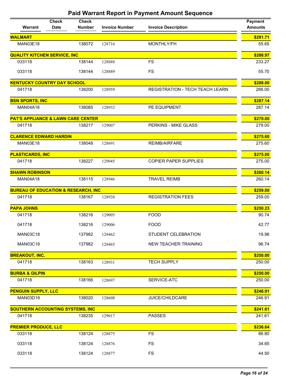| <b>Warrant</b>                                 | <b>Check</b><br><b>Date</b> | <b>Check</b><br><b>Number</b> | <b>Invoice Number</b> | <b>Invoice Description</b>      | <b>Payment</b><br><b>Amounts</b> |
|------------------------------------------------|-----------------------------|-------------------------------|-----------------------|---------------------------------|----------------------------------|
| <b>WALMART</b>                                 |                             |                               |                       |                                 | \$291.71                         |
| <b>MAN03E18</b>                                |                             | 138072                        | 128716                | MONTHLY/FH                      | 55.65                            |
| <b>QUALITY KITCHEN SERVICE, INC</b>            |                             |                               |                       |                                 | \$288.97                         |
| 033118                                         |                             | 138144                        | 128888                | <b>FS</b>                       | 233.27                           |
| 033118                                         |                             | 138144                        | 128889                | <b>FS</b>                       | 55.70                            |
| <b>KENTUCKY COUNTRY DAY SCHOOL</b>             |                             |                               |                       |                                 | \$288.00                         |
| 041718                                         |                             | 138200                        | 128959                | REGISTRATION - TECH TEACH LEARN | 288.00                           |
| <b>BSN SPORTS, INC</b>                         |                             |                               |                       |                                 | \$287.14                         |
| <b>MAN04A18</b>                                |                             | 138085                        | 128932                | PE EQUIPMENT                    | 287.14                           |
| <b>PAT'S APPLIANCE &amp; LAWN CARE CENTER</b>  |                             |                               |                       |                                 | \$279.00                         |
| 041718                                         |                             | 138217                        | 129007                | PERKINS - MIKE GLASS            | 279.00                           |
| <b>CLARENCE EDWARD HARDIN</b>                  |                             |                               |                       |                                 | \$275.60                         |
| <b>MAN03E18</b>                                |                             | 138048                        | 128691                | <b>REIMB/AIRFARE</b>            | 275.60                           |
| <b>PLASTICARDS, INC</b>                        |                             |                               |                       |                                 | \$275.00                         |
| 041718                                         |                             | 138227                        | 129045                | <b>COPIER PAPER SUPPLIES</b>    | 275.00                           |
| <b>SHAWN ROBINSON</b>                          |                             |                               |                       |                                 | \$260.14                         |
| <b>MAN04A18</b>                                |                             | 138115                        | 128946                | <b>TRAVEL REIMB</b>             | 260.14                           |
| <b>BUREAU OF EDUCATION &amp; RESEARCH, INC</b> |                             |                               |                       |                                 | \$259.00                         |
| 041718                                         |                             | 138167                        | 128938                | <b>REGISTRATION FEES</b>        | 259.00                           |
| <b>PAPA JOHNS</b>                              |                             |                               |                       |                                 | \$250.23                         |
| 041718                                         |                             | 138216                        | 129005                | <b>FOOD</b>                     | 90.74                            |
| 041718                                         |                             | 138216                        | 129006                | <b>FOOD</b>                     | 42.77                            |
| <b>MAN03C18</b>                                |                             | 137982                        | 128462                | STUDENT CELEBRATION             | 19.98                            |
| <b>MAN03C18</b>                                |                             | 137982                        | 128465                | <b>NEW TEACHER TRAINING</b>     | 96.74                            |
| <b>BREAKOUT, INC.</b>                          |                             |                               |                       |                                 | \$250.00                         |
| 041718                                         |                             | 138163                        | 128931                | <b>TECH SUPPLY</b>              | 250.00                           |
| <b>BURBA &amp; GILPIN</b>                      |                             |                               |                       |                                 | \$250.00                         |
| 041718                                         |                             | 138166                        | 128697                | SERVICE-ATC                     | 250.00                           |
| <b>PENGUIN SUPPLY, LLC</b>                     |                             |                               |                       |                                 | \$246.91                         |
| MAN03D18                                       |                             | 138020                        | 128608                | JUICE/CHILDCARE                 | 246.91                           |
| <b>SOUTHERN ACCOUNTING SYSTEMS, INC</b>        |                             |                               |                       |                                 | \$241.61                         |
| 041718                                         |                             | 138235                        | 129017                | <b>PASSES</b>                   | 241.61                           |
| <b>PREMIER PRODUCE, LLC</b>                    |                             |                               |                       |                                 | \$236.64                         |
| 033118                                         |                             | 138124                        | 128875                | <b>FS</b>                       | 86.80                            |
| 033118                                         |                             | 138124                        | 128876                | <b>FS</b>                       | 34.65                            |
| 033118                                         |                             | 138124                        | 128877                | <b>FS</b>                       | 44.50                            |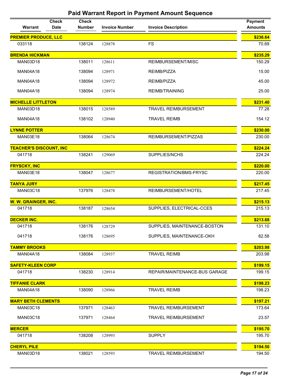| Warrant                        | <b>Check</b><br><b>Date</b> | <b>Check</b><br><b>Number</b> | <b>Invoice Number</b> | <b>Invoice Description</b>    | <b>Payment</b><br><b>Amounts</b> |
|--------------------------------|-----------------------------|-------------------------------|-----------------------|-------------------------------|----------------------------------|
| <b>PREMIER PRODUCE, LLC</b>    |                             |                               |                       |                               | \$236.64                         |
| 033118                         |                             | 138124                        | 128878                | <b>FS</b>                     | 70.69                            |
| <b>BRENDA HICKMAN</b>          |                             |                               |                       |                               | \$235.29                         |
| MAN03D18                       |                             | 138011                        | 128611                | REIMBURSEMENT/MISC            | 150.29                           |
| <b>MAN04A18</b>                |                             | 138094                        | 128971                | REIMB/PIZZA                   | 15.00                            |
| <b>MAN04A18</b>                |                             | 138094                        | 128972                | REIMB/PIZZA                   | 45.00                            |
| <b>MAN04A18</b>                |                             | 138094                        | 128974                | <b>REIMB/TRAINING</b>         | 25.00                            |
| <b>MICHELLE LITTLETON</b>      |                             |                               |                       |                               | \$231.40                         |
| <b>MAN03D18</b>                |                             | 138015                        | 128589                | <b>TRAVEL REIMBURSEMENT</b>   | 77.28                            |
| <b>MAN04A18</b>                |                             | 138102                        | 128940                | <b>TRAVEL REIMB</b>           | 154.12                           |
| <b>LYNNE POTTER</b>            |                             |                               |                       |                               | \$230.00                         |
| <b>MAN03E18</b>                |                             | 138064                        | 128674                | REIMBURSEMENT/PIZZAS          | 230.00                           |
| <b>TEACHER'S DISCOUNT, INC</b> |                             |                               |                       |                               | \$224.24                         |
| 041718                         |                             | 138241                        | 129069                | SUPPLIES/NCHS                 | 224.24                           |
| <b>FRYSCKY, INC</b>            |                             |                               |                       |                               | \$220.00                         |
| <b>MAN03E18</b>                |                             | 138047                        | 128677                | REGISTRATION/BMS-FRYSC        | 220.00                           |
| <b>TANYA JURY</b>              |                             |                               |                       |                               | \$217.45                         |
| <b>MAN03C18</b>                |                             | 137976                        | 128478                | REIMBURSEMENT/HOTEL           | 217.45                           |
| W. W. GRAINGER, INC.           |                             |                               |                       |                               | \$215.13                         |
| 041718                         |                             | 138187                        | 128654                | SUPPLIES, ELECTRICAL-CCES     | 215.13                           |
| <b>DECKER INC.</b>             |                             |                               |                       |                               | \$213.68                         |
| 041718                         |                             | 138176                        | 128729                | SUPPLIES, MAINTENANCE-BOSTON  | 131.10                           |
| 041718                         |                             | 138176                        | 128695                | SUPPLIES, MAINTENANCE-OKH     | 82.58                            |
| <b>TAMMY BROOKS</b>            |                             |                               |                       |                               | \$203.98                         |
| MAN04A18                       |                             | 138084                        | 128937                | <b>TRAVEL REIMB</b>           | 203.98                           |
| <b>SAFETY-KLEEN CORP</b>       |                             |                               |                       |                               | \$199.15                         |
| 041718                         |                             | 138230                        | 128914                | REPAIR/MAINTENANCE-BUS GARAGE | 199.15                           |
| <b>TIFFANIE CLARK</b>          |                             |                               |                       |                               | \$198.23                         |
| <b>MAN04A18</b>                |                             | 138090                        | 128966                | <b>TRAVEL REIMB</b>           | 198.23                           |
| <b>MARY BETH CLEMENTS</b>      |                             |                               |                       |                               | \$197.21                         |
| <b>MAN03C18</b>                |                             | 137971                        | 128463                | <b>TRAVEL REIMBURSEMENT</b>   | 173.64                           |
| <b>MAN03C18</b>                |                             | 137971                        | 128464                | <b>TRAVEL REIMBURSEMENT</b>   | 23.57                            |
| <b>MERCER</b>                  |                             |                               |                       |                               | \$195.70                         |
| 041718                         |                             | 138208                        | 128993                | <b>SUPPLY</b>                 | 195.70                           |
| <b>CHERYL PILE</b>             |                             |                               |                       |                               | \$194.50                         |
| <b>MAN03D18</b>                |                             | 138021                        | 128593                | TRAVEL REIMBURSEMENT          | 194.50                           |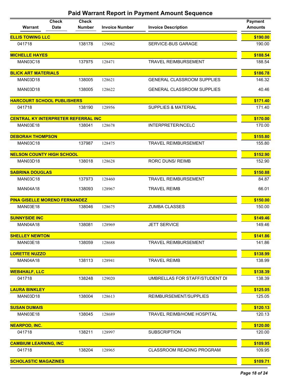| Warrant                                    | <b>Check</b><br><b>Date</b> | <b>Check</b><br><b>Number</b> | <b>Invoice Number</b> | <b>Invoice Description</b>        | <b>Payment</b><br><b>Amounts</b> |
|--------------------------------------------|-----------------------------|-------------------------------|-----------------------|-----------------------------------|----------------------------------|
| <b>ELLIS TOWING LLC</b>                    |                             |                               |                       |                                   | \$190.00                         |
| 041718                                     |                             | 138178                        | 129082                | SERVICE-BUS GARAGE                | 190.00                           |
| <b>MICHELLE HAYES</b>                      |                             |                               |                       |                                   | \$188.54                         |
| <b>MAN03C18</b>                            |                             | 137975                        | 128471                | <b>TRAVEL REIMBURSEMENT</b>       | 188.54                           |
| <b>BLICK ART MATERIALS</b>                 |                             |                               |                       |                                   | \$186.78                         |
| <b>MAN03D18</b>                            |                             | 138005                        | 128621                | <b>GENERAL CLASSROOM SUPPLIES</b> | 146.32                           |
| <b>MAN03D18</b>                            |                             | 138005                        | 128622                | <b>GENERAL CLASSROOM SUPPLIES</b> | 40.46                            |
| <b>HARCOURT SCHOOL PUBLISHERS</b>          |                             |                               |                       |                                   | \$171.40                         |
| 041718                                     |                             | 138190                        | 128956                | <b>SUPPLIES &amp; MATERIAL</b>    | 171.40                           |
| <b>CENTRAL KY INTERPRETER REFERRAL INC</b> |                             |                               |                       |                                   | \$170.00                         |
| <b>MAN03E18</b>                            |                             | 138041                        | 128678                | INTERPRETER/NCELC                 | 170.00                           |
| <b>DEBORAH THOMPSON</b>                    |                             |                               |                       |                                   | \$155.80                         |
| <b>MAN03C18</b>                            |                             | 137987                        | 128475                | <b>TRAVEL REIMBURSEMENT</b>       | 155.80                           |
| <b>NELSON COUNTY HIGH SCHOOL</b>           |                             |                               |                       |                                   | \$152.90                         |
| <b>MAN03D18</b>                            |                             | 138018                        | 128628                | <b>RORC DUNS/ REIMB</b>           | 152.90                           |
| <b>SABRINA DOUGLAS</b>                     |                             |                               |                       |                                   | \$150.88                         |
| <b>MAN03C18</b>                            |                             | 137973                        | 128460                | <b>TRAVEL REIMBURSEMENT</b>       | 84.87                            |
| <b>MAN04A18</b>                            |                             | 138093                        | 128967                | <b>TRAVEL REIMB</b>               | 66.01                            |
| <b>PINA GISELLE MORENO FERNANDEZ</b>       |                             |                               |                       |                                   | \$150.00                         |
| <b>MAN03E18</b>                            |                             | 138046                        | 128675                | <b>ZUMBA CLASSES</b>              | 150.00                           |
| <b>SUNNYSIDE INC</b>                       |                             |                               |                       |                                   | \$149.46                         |
| <b>MAN04A18</b>                            |                             | 138081                        | 128969                | <b>JETT SERVICE</b>               | 149.46                           |
| <b>SHELLEY NEWTON</b>                      |                             |                               |                       |                                   | \$141.86                         |
| <b>MAN03E18</b>                            |                             | 138059                        | 128688                | <b>TRAVEL REIMBURSEMENT</b>       | 141.86                           |
| <b>LORETTE NUZZO</b>                       |                             |                               |                       |                                   | \$138.99                         |
| <b>MAN04A18</b>                            |                             | 138113                        | 128941                | <b>TRAVEL REIMB</b>               | 138.99                           |
| <b>WEB4HALF, LLC</b>                       |                             |                               |                       |                                   | \$138.39                         |
| 041718                                     |                             | 138248                        | 129020                | UMBRELLAS FOR STAFF/STUDENT DI    | 138.39                           |
| <b>LAURA BINKLEY</b>                       |                             |                               |                       |                                   | \$125.05                         |
| <b>MAN03D18</b>                            |                             | 138004                        | 128613                | REIMBURSEMENT/SUPPLIES            | 125.05                           |
| <b>SUSAN DUMAIS</b>                        |                             |                               |                       |                                   | \$120.13                         |
| <b>MAN03E18</b>                            |                             | 138045                        | 128689                | <b>TRAVEL REIMB/HOME HOSPITAL</b> | 120.13                           |
| <b>NEARPOD, INC.</b>                       |                             |                               |                       |                                   | \$120.00                         |
| 041718                                     |                             | 138211                        | 128997                | <b>SUBSCRIPTION</b>               | 120.00                           |
| <b>CAMBIUM LEARNING, INC</b>               |                             |                               |                       |                                   | \$109.95                         |
| 041718                                     |                             | 138204                        | 128965                | <b>CLASSROOM READING PROGRAM</b>  | 109.95                           |
| <b>SCHOLASTIC MAGAZINES</b>                |                             |                               |                       |                                   | \$109.71                         |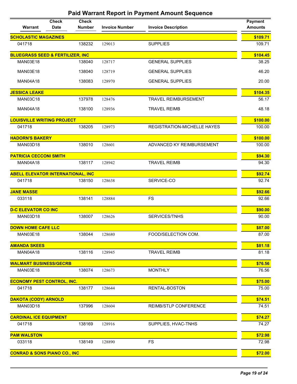| Warrant                                     | <b>Check</b><br><b>Date</b> | <b>Check</b><br><b>Number</b> | <b>Invoice Number</b> | <b>Invoice Description</b>  | <b>Payment</b><br><b>Amounts</b> |
|---------------------------------------------|-----------------------------|-------------------------------|-----------------------|-----------------------------|----------------------------------|
| <b>SCHOLASTIC MAGAZINES</b>                 |                             |                               |                       |                             | \$109.71                         |
| 041718                                      |                             | 138232                        | 129013                | <b>SUPPLIES</b>             | 109.71                           |
| <b>BLUEGRASS SEED &amp; FERTILIZER, INC</b> |                             |                               |                       |                             | \$104.45                         |
| MAN03E18                                    |                             | 138040                        | 128717                | <b>GENERAL SUPPLIES</b>     | 38.25                            |
| <b>MAN03E18</b>                             |                             | 138040                        | 128719                | <b>GENERAL SUPPLIES</b>     | 46.20                            |
| <b>MAN04A18</b>                             |                             | 138083                        | 128970                | <b>GENERAL SUPPLIES</b>     | 20.00                            |
| <b>JESSICA LEAKE</b>                        |                             |                               |                       |                             | \$104.35                         |
| <b>MAN03C18</b>                             |                             | 137978                        | 128476                | <b>TRAVEL REIMBURSEMENT</b> | 56.17                            |
| <b>MAN04A18</b>                             |                             | 138100                        | 128936                | <b>TRAVEL REIMB</b>         | 48.18                            |
| <b>LOUISVILLE WRITING PROJECT</b>           |                             |                               |                       |                             | \$100.00                         |
| 041718                                      |                             | 138205                        | 128973                | REGISTRATION-MICHELLE HAYES | 100.00                           |
| <b>HADORN'S BAKERY</b>                      |                             |                               |                       |                             | \$100.00                         |
| <b>MAN03D18</b>                             |                             | 138010                        | 128601                | ADVANCED KY REIMBURSEMENT   | 100.00                           |
| <b>PATRICIA CECCONI SMITH</b>               |                             |                               |                       |                             | \$94.30                          |
| <b>MAN04A18</b>                             |                             | 138117                        | 128942                | <b>TRAVEL REIMB</b>         | 94.30                            |
| <b>ABELL ELEVATOR INTERNATIONAL, INC</b>    |                             |                               |                       |                             | \$92.74                          |
| 041718                                      |                             | 138150                        | 128638                | SERVICE-CO                  | 92.74                            |
| <b>JANE MASSE</b>                           |                             |                               |                       |                             | \$92.66                          |
| 033118                                      |                             | 138141                        | 128884                | <b>FS</b>                   | 92.66                            |
| <b>D-C ELEVATOR CO INC</b>                  |                             |                               |                       |                             | \$90.00                          |
| <b>MAN03D18</b>                             |                             | 138007                        | 128626                | SERVICES/TNHS               | 90.00                            |
| <b>DOWN HOME CAFE LLC</b>                   |                             |                               |                       |                             | \$87.00                          |
| MAN03E18                                    |                             | 138044                        | 128680                | FOOD/SELECTION COM.         | 87.00                            |
| <b>AMANDA SKEES</b>                         |                             |                               |                       |                             | \$81.18                          |
| <b>MAN04A18</b>                             |                             | 138116                        | 128945                | <b>TRAVEL REIMB</b>         | 81.18                            |
| <b>WALMART BUSINESS/GECRB</b>               |                             |                               |                       |                             | \$76.56                          |
| <b>MAN03E18</b>                             |                             | 138074                        | 128673                | <b>MONTHLY</b>              | 76.56                            |
| <b>ECONOMY PEST CONTROL, INC.</b>           |                             |                               |                       |                             | \$75.00                          |
| 041718                                      |                             | 138177                        | 128644                | RENTAL-BOSTON               | 75.00                            |
| <b>DAKOTA (CODY) ARNOLD</b>                 |                             |                               |                       |                             | \$74.51                          |
| MAN03D18                                    |                             | 137996                        | 128604                | REIMB/STLP CONFERENCE       | 74.51                            |
| <b>CARDINAL ICE EQUIPMENT</b>               |                             |                               |                       |                             | \$74.27                          |
| 041718                                      |                             | 138169                        | 128916                | SUPPLIES, HVAC-TNHS         | 74.27                            |
| <b>PAM WALSTON</b>                          |                             |                               |                       |                             | \$72.98                          |
| 033118                                      |                             | 138149                        | 128890                | <b>FS</b>                   | 72.98                            |
| <b>CONRAD &amp; SONS PIANO CO., INC</b>     |                             |                               |                       |                             | \$72.00                          |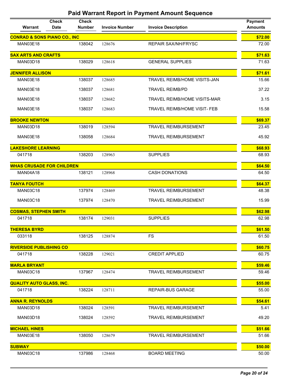| <b>CONRAD &amp; SONS PIANO CO., INC</b><br><b>MAN03E18</b><br>138042<br>128676<br><b>REPAIR SAX/NH/FRYSC</b><br><b>SAX ARTS AND CRAFTS</b><br>138029<br><b>GENERAL SUPPLIES</b><br>MAN03D18<br>128618<br><b>JENNIFER ALLISON</b><br>MAN03E18<br>138037<br><b>TRAVEL REIMB/HOME VISITS-JAN</b><br>128685<br>138037<br><b>MAN03E18</b><br>128681<br><b>TRAVEL REIMB/PD</b><br><b>MAN03E18</b><br>138037<br>128682<br><b>TRAVEL REIMB/HOME VISITS-MAR</b><br>138037<br>128683<br><b>MAN03E18</b><br><b>TRAVEL REIMB/HOME VISIT- FEB</b><br><b>BROOKE NEWTON</b><br><b>MAN03D18</b><br>138019<br>128594<br><b>TRAVEL REIMBURSEMENT</b><br><b>MAN03E18</b><br>138058<br>128684<br><b>TRAVEL REIMBURSEMENT</b><br>\$68.93<br><b>LAKESHORE LEARNING</b><br><b>SUPPLIES</b><br>041718<br>138203<br>128963<br><b>WHAS CRUSADE FOR CHILDREN</b><br>\$64.50<br><b>CASH DONATIONS</b><br><b>MAN04A18</b><br>138121<br>128968<br><b>TANYA FOUTCH</b><br>\$64.37<br><b>MAN03C18</b><br>137974<br>128469<br><b>TRAVEL REIMBURSEMENT</b><br><b>MAN03C18</b><br>137974<br><b>TRAVEL REIMBURSEMENT</b><br>128470<br>\$62.98<br><b>COSMAS, STEPHEN SMITH</b><br>041718<br>138174<br><b>SUPPLIES</b><br>129031<br>\$61.50<br><b>THERESA BYRD</b><br>033118<br>138125<br>FS<br>128874<br><b>RIVERSIDE PUBLISHING CO</b><br>\$60.75<br><b>CREDIT APPLIED</b><br>138228<br>041718<br>129021<br><b>MARLA BRYANT</b><br>\$59.46<br><b>MAN03C18</b><br>137967<br>128474<br><b>TRAVEL REIMBURSEMENT</b> | Warrant | <b>Check</b><br><b>Check</b><br><b>Date</b><br><b>Number</b> | <b>Invoice Number</b> | <b>Invoice Description</b> | <b>Payment</b><br><b>Amounts</b> |
|------------------------------------------------------------------------------------------------------------------------------------------------------------------------------------------------------------------------------------------------------------------------------------------------------------------------------------------------------------------------------------------------------------------------------------------------------------------------------------------------------------------------------------------------------------------------------------------------------------------------------------------------------------------------------------------------------------------------------------------------------------------------------------------------------------------------------------------------------------------------------------------------------------------------------------------------------------------------------------------------------------------------------------------------------------------------------------------------------------------------------------------------------------------------------------------------------------------------------------------------------------------------------------------------------------------------------------------------------------------------------------------------------------------------------------------------------------------------------|---------|--------------------------------------------------------------|-----------------------|----------------------------|----------------------------------|
|                                                                                                                                                                                                                                                                                                                                                                                                                                                                                                                                                                                                                                                                                                                                                                                                                                                                                                                                                                                                                                                                                                                                                                                                                                                                                                                                                                                                                                                                              |         |                                                              |                       |                            | \$72.00                          |
|                                                                                                                                                                                                                                                                                                                                                                                                                                                                                                                                                                                                                                                                                                                                                                                                                                                                                                                                                                                                                                                                                                                                                                                                                                                                                                                                                                                                                                                                              |         |                                                              |                       |                            | 72.00                            |
|                                                                                                                                                                                                                                                                                                                                                                                                                                                                                                                                                                                                                                                                                                                                                                                                                                                                                                                                                                                                                                                                                                                                                                                                                                                                                                                                                                                                                                                                              |         |                                                              |                       |                            | \$71.63                          |
|                                                                                                                                                                                                                                                                                                                                                                                                                                                                                                                                                                                                                                                                                                                                                                                                                                                                                                                                                                                                                                                                                                                                                                                                                                                                                                                                                                                                                                                                              |         |                                                              |                       |                            | 71.63                            |
|                                                                                                                                                                                                                                                                                                                                                                                                                                                                                                                                                                                                                                                                                                                                                                                                                                                                                                                                                                                                                                                                                                                                                                                                                                                                                                                                                                                                                                                                              |         |                                                              |                       |                            | \$71.61                          |
|                                                                                                                                                                                                                                                                                                                                                                                                                                                                                                                                                                                                                                                                                                                                                                                                                                                                                                                                                                                                                                                                                                                                                                                                                                                                                                                                                                                                                                                                              |         |                                                              |                       |                            | 15.66                            |
|                                                                                                                                                                                                                                                                                                                                                                                                                                                                                                                                                                                                                                                                                                                                                                                                                                                                                                                                                                                                                                                                                                                                                                                                                                                                                                                                                                                                                                                                              |         |                                                              |                       |                            | 37.22                            |
|                                                                                                                                                                                                                                                                                                                                                                                                                                                                                                                                                                                                                                                                                                                                                                                                                                                                                                                                                                                                                                                                                                                                                                                                                                                                                                                                                                                                                                                                              |         |                                                              |                       |                            | 3.15                             |
|                                                                                                                                                                                                                                                                                                                                                                                                                                                                                                                                                                                                                                                                                                                                                                                                                                                                                                                                                                                                                                                                                                                                                                                                                                                                                                                                                                                                                                                                              |         |                                                              |                       |                            | 15.58                            |
|                                                                                                                                                                                                                                                                                                                                                                                                                                                                                                                                                                                                                                                                                                                                                                                                                                                                                                                                                                                                                                                                                                                                                                                                                                                                                                                                                                                                                                                                              |         |                                                              |                       |                            | \$69.37                          |
|                                                                                                                                                                                                                                                                                                                                                                                                                                                                                                                                                                                                                                                                                                                                                                                                                                                                                                                                                                                                                                                                                                                                                                                                                                                                                                                                                                                                                                                                              |         |                                                              |                       |                            | 23.45                            |
|                                                                                                                                                                                                                                                                                                                                                                                                                                                                                                                                                                                                                                                                                                                                                                                                                                                                                                                                                                                                                                                                                                                                                                                                                                                                                                                                                                                                                                                                              |         |                                                              |                       |                            | 45.92                            |
|                                                                                                                                                                                                                                                                                                                                                                                                                                                                                                                                                                                                                                                                                                                                                                                                                                                                                                                                                                                                                                                                                                                                                                                                                                                                                                                                                                                                                                                                              |         |                                                              |                       |                            |                                  |
|                                                                                                                                                                                                                                                                                                                                                                                                                                                                                                                                                                                                                                                                                                                                                                                                                                                                                                                                                                                                                                                                                                                                                                                                                                                                                                                                                                                                                                                                              |         |                                                              |                       |                            | 68.93                            |
|                                                                                                                                                                                                                                                                                                                                                                                                                                                                                                                                                                                                                                                                                                                                                                                                                                                                                                                                                                                                                                                                                                                                                                                                                                                                                                                                                                                                                                                                              |         |                                                              |                       |                            |                                  |
|                                                                                                                                                                                                                                                                                                                                                                                                                                                                                                                                                                                                                                                                                                                                                                                                                                                                                                                                                                                                                                                                                                                                                                                                                                                                                                                                                                                                                                                                              |         |                                                              |                       |                            | 64.50                            |
|                                                                                                                                                                                                                                                                                                                                                                                                                                                                                                                                                                                                                                                                                                                                                                                                                                                                                                                                                                                                                                                                                                                                                                                                                                                                                                                                                                                                                                                                              |         |                                                              |                       |                            |                                  |
|                                                                                                                                                                                                                                                                                                                                                                                                                                                                                                                                                                                                                                                                                                                                                                                                                                                                                                                                                                                                                                                                                                                                                                                                                                                                                                                                                                                                                                                                              |         |                                                              |                       |                            | 48.38                            |
|                                                                                                                                                                                                                                                                                                                                                                                                                                                                                                                                                                                                                                                                                                                                                                                                                                                                                                                                                                                                                                                                                                                                                                                                                                                                                                                                                                                                                                                                              |         |                                                              |                       |                            | 15.99                            |
|                                                                                                                                                                                                                                                                                                                                                                                                                                                                                                                                                                                                                                                                                                                                                                                                                                                                                                                                                                                                                                                                                                                                                                                                                                                                                                                                                                                                                                                                              |         |                                                              |                       |                            |                                  |
|                                                                                                                                                                                                                                                                                                                                                                                                                                                                                                                                                                                                                                                                                                                                                                                                                                                                                                                                                                                                                                                                                                                                                                                                                                                                                                                                                                                                                                                                              |         |                                                              |                       |                            | 62.98                            |
|                                                                                                                                                                                                                                                                                                                                                                                                                                                                                                                                                                                                                                                                                                                                                                                                                                                                                                                                                                                                                                                                                                                                                                                                                                                                                                                                                                                                                                                                              |         |                                                              |                       |                            |                                  |
|                                                                                                                                                                                                                                                                                                                                                                                                                                                                                                                                                                                                                                                                                                                                                                                                                                                                                                                                                                                                                                                                                                                                                                                                                                                                                                                                                                                                                                                                              |         |                                                              |                       |                            | 61.50                            |
|                                                                                                                                                                                                                                                                                                                                                                                                                                                                                                                                                                                                                                                                                                                                                                                                                                                                                                                                                                                                                                                                                                                                                                                                                                                                                                                                                                                                                                                                              |         |                                                              |                       |                            |                                  |
|                                                                                                                                                                                                                                                                                                                                                                                                                                                                                                                                                                                                                                                                                                                                                                                                                                                                                                                                                                                                                                                                                                                                                                                                                                                                                                                                                                                                                                                                              |         |                                                              |                       |                            | 60.75                            |
|                                                                                                                                                                                                                                                                                                                                                                                                                                                                                                                                                                                                                                                                                                                                                                                                                                                                                                                                                                                                                                                                                                                                                                                                                                                                                                                                                                                                                                                                              |         |                                                              |                       |                            |                                  |
|                                                                                                                                                                                                                                                                                                                                                                                                                                                                                                                                                                                                                                                                                                                                                                                                                                                                                                                                                                                                                                                                                                                                                                                                                                                                                                                                                                                                                                                                              |         |                                                              |                       |                            | 59.46                            |
| <b>QUALITY AUTO GLASS, INC.</b>                                                                                                                                                                                                                                                                                                                                                                                                                                                                                                                                                                                                                                                                                                                                                                                                                                                                                                                                                                                                                                                                                                                                                                                                                                                                                                                                                                                                                                              |         |                                                              |                       |                            | \$55.00                          |
| 041718<br>138224<br>128711<br><b>REPAIR-BUS GARAGE</b>                                                                                                                                                                                                                                                                                                                                                                                                                                                                                                                                                                                                                                                                                                                                                                                                                                                                                                                                                                                                                                                                                                                                                                                                                                                                                                                                                                                                                       |         |                                                              |                       |                            | 55.00                            |
| <b>ANNA R. REYNOLDS</b>                                                                                                                                                                                                                                                                                                                                                                                                                                                                                                                                                                                                                                                                                                                                                                                                                                                                                                                                                                                                                                                                                                                                                                                                                                                                                                                                                                                                                                                      |         |                                                              |                       |                            | \$54.61                          |
| 138024<br><b>MAN03D18</b><br>128591<br><b>TRAVEL REIMBURSEMENT</b>                                                                                                                                                                                                                                                                                                                                                                                                                                                                                                                                                                                                                                                                                                                                                                                                                                                                                                                                                                                                                                                                                                                                                                                                                                                                                                                                                                                                           |         |                                                              |                       |                            | 5.41                             |
| <b>MAN03D18</b><br>138024<br>128592<br><b>TRAVEL REIMBURSEMENT</b>                                                                                                                                                                                                                                                                                                                                                                                                                                                                                                                                                                                                                                                                                                                                                                                                                                                                                                                                                                                                                                                                                                                                                                                                                                                                                                                                                                                                           |         |                                                              |                       |                            | 49.20                            |
| <b>MICHAEL HINES</b>                                                                                                                                                                                                                                                                                                                                                                                                                                                                                                                                                                                                                                                                                                                                                                                                                                                                                                                                                                                                                                                                                                                                                                                                                                                                                                                                                                                                                                                         |         |                                                              |                       |                            | \$51.66                          |
| <b>TRAVEL REIMBURSEMENT</b><br><b>MAN03E18</b><br>138050<br>128679                                                                                                                                                                                                                                                                                                                                                                                                                                                                                                                                                                                                                                                                                                                                                                                                                                                                                                                                                                                                                                                                                                                                                                                                                                                                                                                                                                                                           |         |                                                              |                       |                            | 51.66                            |
| <b>SUBWAY</b>                                                                                                                                                                                                                                                                                                                                                                                                                                                                                                                                                                                                                                                                                                                                                                                                                                                                                                                                                                                                                                                                                                                                                                                                                                                                                                                                                                                                                                                                |         |                                                              |                       |                            | \$50.00                          |
| <b>MAN03C18</b><br>137986<br>128468<br><b>BOARD MEETING</b>                                                                                                                                                                                                                                                                                                                                                                                                                                                                                                                                                                                                                                                                                                                                                                                                                                                                                                                                                                                                                                                                                                                                                                                                                                                                                                                                                                                                                  |         |                                                              |                       |                            | 50.00                            |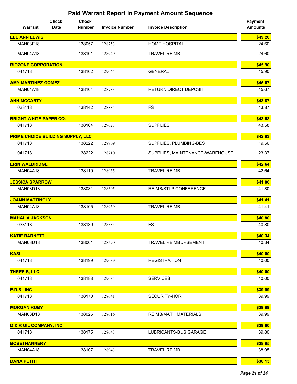| Warrant                           | <b>Check</b><br><b>Date</b> | <b>Check</b><br><b>Number</b> | <b>Invoice Number</b> | <b>Invoice Description</b>      | <b>Payment</b><br><b>Amounts</b> |
|-----------------------------------|-----------------------------|-------------------------------|-----------------------|---------------------------------|----------------------------------|
| <b>LEE ANN LEWIS</b>              |                             |                               |                       |                                 | \$49.20                          |
| <b>MAN03E18</b>                   |                             | 138057                        | 128753                | HOME HOSPITAL                   | 24.60                            |
| <b>MAN04A18</b>                   |                             | 138101                        | 128949                | <b>TRAVEL REIMB</b>             | 24.60                            |
| <b>BIOZONE CORPORATION</b>        |                             |                               |                       |                                 | \$45.90                          |
| 041718                            |                             | 138162                        | 129065                | <b>GENERAL</b>                  | 45.90                            |
| <b>AMY MARTINEZ-GOMEZ</b>         |                             |                               |                       |                                 | \$45.67                          |
| <b>MAN04A18</b>                   |                             | 138104                        | 128983                | <b>RETURN DIRECT DEPOSIT</b>    | 45.67                            |
| <b>ANN MCCARTY</b>                |                             |                               |                       |                                 | \$43.87                          |
| 033118                            |                             | 138142                        | 128885                | <b>FS</b>                       | 43.87                            |
| <b>BRIGHT WHITE PAPER CO.</b>     |                             |                               |                       |                                 | \$43.58                          |
| 041718                            |                             | 138164                        | 129023                | <b>SUPPLIES</b>                 | 43.58                            |
| PRIME CHOICE BUILDING SUPPLY, LLC |                             |                               |                       |                                 | \$42.93                          |
| 041718                            |                             | 138222                        | 128709                | SUPPLIES, PLUMBING-BES          | 19.56                            |
| 041718                            |                             | 138222                        | 128710                | SUPPLIES, MAINTENANCE-WAREHOUSE | 23.37                            |
| <b>ERIN WALDRIDGE</b>             |                             |                               |                       |                                 | \$42.64                          |
| <b>MAN04A18</b>                   |                             | 138119                        | 128935                | <b>TRAVEL REIMB</b>             | 42.64                            |
| <b>JESSICA SPARROW</b>            |                             |                               |                       |                                 | \$41.80                          |
| MAN03D18                          |                             | 138031                        | 128605                | REIMB/STLP CONFERENCE           | 41.80                            |
| <b>JOANN MATTINGLY</b>            |                             |                               |                       |                                 | \$41.41                          |
| <b>MAN04A18</b>                   |                             | 138105                        | 128939                | <b>TRAVEL REIMB</b>             | 41.41                            |
| <b>MAHALIA JACKSON</b>            |                             |                               |                       |                                 | \$40.80                          |
| 033118                            |                             | 138139                        | 128883                | <b>FS</b>                       | 40.80                            |
| <b>KATIE BARNETT</b>              |                             |                               |                       |                                 | \$40.34                          |
| <b>MAN03D18</b>                   |                             | 138001                        | 128590                | <b>TRAVEL REIMBURSEMENT</b>     | 40.34                            |
| <b>KASL</b>                       |                             |                               |                       |                                 | \$40.00                          |
| 041718                            |                             | 138199                        | 129039                | <b>REGISTRATION</b>             | 40.00                            |
| <b>THREE B, LLC</b>               |                             |                               |                       |                                 | \$40.00                          |
| 041718                            |                             | 138188                        | 129034                | <b>SERVICES</b>                 | 40.00                            |
| <b>E.D.S., INC</b>                |                             |                               |                       |                                 | \$39.99                          |
| 041718                            |                             | 138170                        | 128641                | SECURITY-HOR                    | 39.99                            |
| <b>MORGAN ROBY</b>                |                             |                               |                       |                                 | \$39.99                          |
| MAN03D18                          |                             | 138025                        | 128616                | REIMB/MATH MATERIALS            | 39.99                            |
| <b>D &amp; R OIL COMPANY, INC</b> |                             |                               |                       |                                 | \$39.80                          |
| 041718                            |                             | 138175                        | 128643                | LUBRICANTS-BUS GARAGE           | 39.80                            |
| <b>BOBBI NANNERY</b>              |                             |                               |                       |                                 | \$38.95                          |
| <b>MAN04A18</b>                   |                             | 138107                        | 128943                | <b>TRAVEL REIMB</b>             | 38.95                            |
| <b>DANA PETITT</b>                |                             |                               |                       |                                 | \$38.13                          |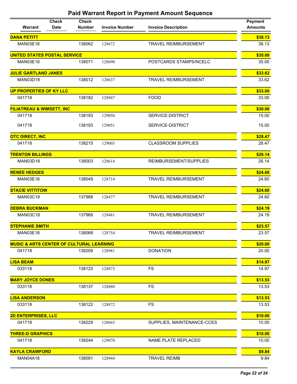| Warrant                                             | <b>Check</b><br><b>Date</b> | <b>Check</b><br><b>Number</b> | <b>Invoice Number</b> | <b>Invoice Description</b>  | <b>Payment</b><br><b>Amounts</b> |
|-----------------------------------------------------|-----------------------------|-------------------------------|-----------------------|-----------------------------|----------------------------------|
| <b>DANA PETITT</b>                                  |                             |                               |                       |                             | \$38.13                          |
| <b>MAN03E18</b>                                     |                             | 138062                        | 128672                | <b>TRAVEL REIMBURSEMENT</b> | 38.13                            |
| <b>UNITED STATES POSTAL SERVICE</b>                 |                             |                               |                       |                             | \$35.00                          |
| <b>MAN03E18</b>                                     |                             | 138071                        | 128690                | POSTCARDS STAMPS/NCELC      | 35.00                            |
| <b>JULIE GARTLAND JANES</b>                         |                             |                               |                       |                             | \$33.62                          |
| <b>MAN03D18</b>                                     |                             | 138012                        | 128637                | <b>TRAVEL REIMBURSEMENT</b> | 33.62                            |
| <b>UP PROPERTIES OF KY LLC</b>                      |                             |                               |                       |                             | \$33.00                          |
| 041718                                              |                             | 138182                        | 128947                | <b>FOOD</b>                 | 33.00                            |
| <b>FILIATREAU &amp; WIMSETT, INC</b>                |                             |                               |                       |                             | \$30.00                          |
| 041718                                              |                             | 138193                        | 129050                | SERVICE-DISTRICT            | 15.00                            |
| 041718                                              |                             | 138193                        | 129051                | SERVICE-DISTRICT            | 15.00                            |
|                                                     |                             |                               |                       |                             |                                  |
| <b>OTC DIRECT, INC</b><br>041718                    |                             | 138215                        | 129003                | <b>CLASSROOM SUPPLIES</b>   | \$28.47<br>28.47                 |
|                                                     |                             |                               |                       |                             |                                  |
| <b>TRENTON BILLINGS</b>                             |                             |                               |                       |                             | \$26.14                          |
| MAN03D18                                            |                             | 138003                        | 128614                | REIMBURSEMENT/SUPPLIES      | 26.14                            |
| <b>RENEE HEDGES</b>                                 |                             |                               |                       |                             | \$24.60                          |
| <b>MAN03E18</b>                                     |                             | 138049                        | 128714                | <b>TRAVEL REIMBURSEMENT</b> | 24.60                            |
| <b>STACIE VITTITOW</b>                              |                             |                               |                       |                             | \$24.60                          |
| <b>MAN03C18</b>                                     |                             | 137988                        | 128477                | <b>TRAVEL REIMBURSEMENT</b> | 24.60                            |
| <b>DEBRA BUCKMAN</b>                                |                             |                               |                       |                             | \$24.19                          |
| <b>MAN03C18</b>                                     |                             | 137968                        | 128481                | <b>TRAVEL REIMBURSEMENT</b> | 24.19                            |
| <b>STEPHANIE SMITH</b>                              |                             |                               |                       |                             | \$23.57                          |
| MAN03E18                                            |                             | 138068                        | 128754                | <b>TRAVEL REIMBURSEMENT</b> | 23.57                            |
| <b>MUSIC &amp; ARTS CENTER OF CULTURAL LEARNING</b> |                             |                               |                       |                             | \$20.00                          |
| 041718                                              |                             | 138209                        | 128981                | <b>DONATION</b>             | 20.00                            |
| <b>LISA BEAM</b>                                    |                             |                               |                       |                             | \$14.97                          |
| 033118                                              |                             | 138123                        | 128873                | <b>FS</b>                   | 14.97                            |
| <b>MARY JOYCE DONES</b>                             |                             |                               |                       |                             | \$13.53                          |
| 033118                                              |                             | 138137                        | 128880                | <b>FS</b>                   | 13.53                            |
| <b>LISA ANDERSON</b>                                |                             |                               |                       |                             | \$13.53                          |
| 033118                                              |                             | 138122                        | 128872                | <b>FS</b>                   | 13.53                            |
| <b>2D ENTERPRISES, LLC</b>                          |                             |                               |                       |                             | \$10.00                          |
| 041718                                              |                             | 138229                        | 128665                | SUPPLIES, MAINTENANCE-CCES  | 10.00                            |
| <b>THREE-D GRAPHICS</b>                             |                             |                               |                       |                             | \$10.00                          |
| 041718                                              |                             | 138244                        | 129070                | NAME PLATE REPLACED         | 10.00                            |
| <b>KAYLA CRAWFORD</b>                               |                             |                               |                       |                             | \$9.84                           |
| <b>MAN04A18</b>                                     |                             | 138091                        | 128944                | <b>TRAVEL REIMB</b>         | 9.84                             |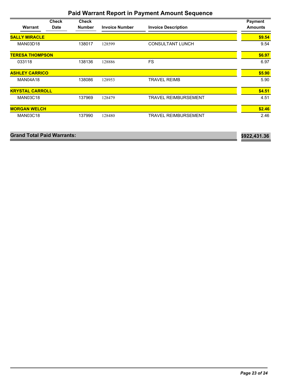| Warrant                | <b>Check</b><br><b>Date</b> | <b>Check</b><br><b>Number</b> | <b>Invoice Number</b> | <b>Invoice Description</b>  | <b>Payment</b><br><b>Amounts</b> |
|------------------------|-----------------------------|-------------------------------|-----------------------|-----------------------------|----------------------------------|
| <b>SALLY MIRACLE</b>   |                             |                               |                       |                             | \$9.54                           |
| <b>MAN03D18</b>        |                             | 138017                        | 128599                | <b>CONSULTANT LUNCH</b>     | 9.54                             |
| <b>TERESA THOMPSON</b> |                             |                               |                       |                             | \$6.97                           |
| 033118                 |                             | 138136                        | 128886                | <b>FS</b>                   | 6.97                             |
| <b>ASHLEY CARRICO</b>  |                             |                               |                       |                             | \$5.90                           |
| <b>MAN04A18</b>        |                             | 138086                        | 128953                | <b>TRAVEL REIMB</b>         | 5.90                             |
| <b>KRYSTAL CARROLL</b> |                             |                               |                       |                             | \$4.51                           |
| <b>MAN03C18</b>        |                             | 137969                        | 128479                | <b>TRAVEL REIMBURSEMENT</b> | 4.51                             |
| <b>MORGAN WELCH</b>    |                             |                               |                       |                             | \$2.46                           |
| <b>MAN03C18</b>        |                             | 137990                        | 128480                | <b>TRAVEL REIMBURSEMENT</b> | 2.46                             |

| <b>Grand Total Paid Warrants:</b> | \$922,431.36 |
|-----------------------------------|--------------|
|                                   |              |